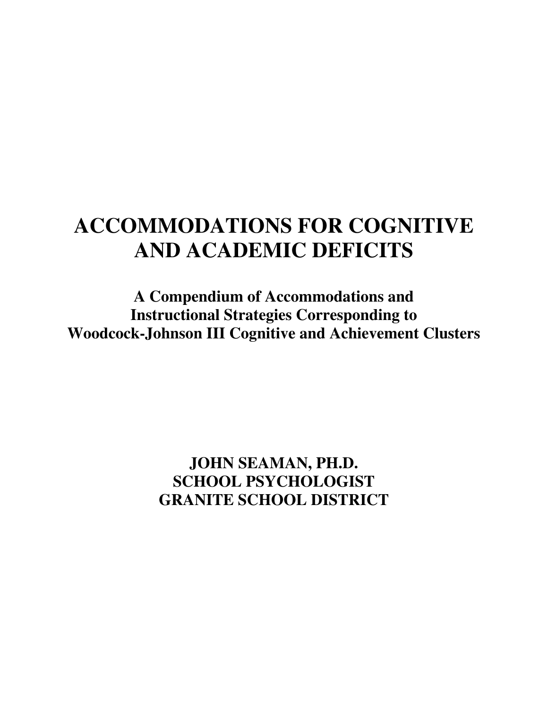# **ACCOMMODATIONS FOR COGNITIVE AND ACADEMIC DEFICITS**

**A Compendium of Accommodations and Instructional Strategies Corresponding to Woodcock-Johnson III Cognitive and Achievement Clusters** 

> **JOHN SEAMAN, PH.D. SCHOOL PSYCHOLOGIST GRANITE SCHOOL DISTRICT**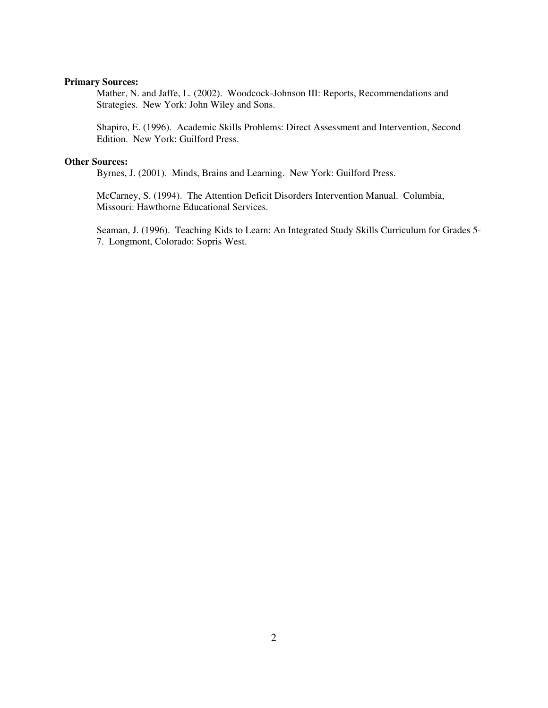# **Primary Sources:**

Mather, N. and Jaffe, L. (2002). Woodcock-Johnson III: Reports, Recommendations and Strategies. New York: John Wiley and Sons.

Shapiro, E. (1996). Academic Skills Problems: Direct Assessment and Intervention, Second Edition. New York: Guilford Press.

## **Other Sources:**

Byrnes, J. (2001). Minds, Brains and Learning. New York: Guilford Press.

McCarney, S. (1994). The Attention Deficit Disorders Intervention Manual. Columbia, Missouri: Hawthorne Educational Services.

Seaman, J. (1996). Teaching Kids to Learn: An Integrated Study Skills Curriculum for Grades 5- 7. Longmont, Colorado: Sopris West.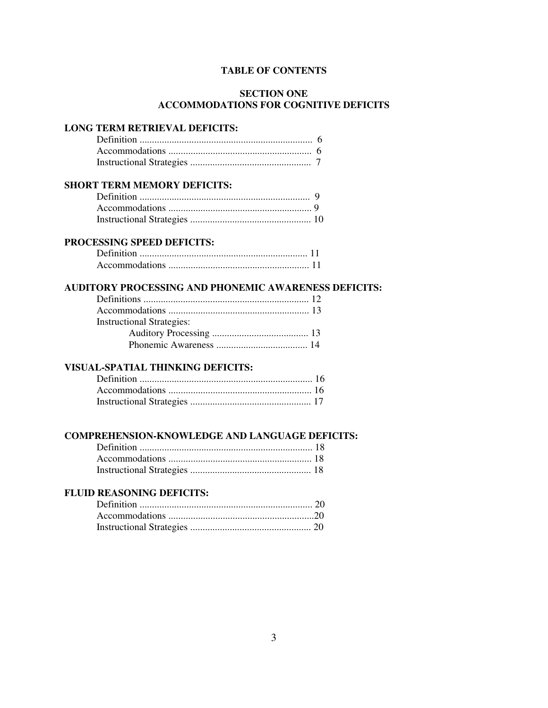# **TABLE OF CONTENTS**

# **SECTION ONE ACCOMMODATIONS FOR COGNITIVE DEFICITS**

# **LONG TERM RETRIEVAL DEFICITS:**

# **SHORT TERM MEMORY DEFICITS:**

# **PROCESSING SPEED DEFICITS:**

# **AUDITORY PROCESSING AND PHONEMIC AWARENESS DEFICITS:**

| <b>Instructional Strategies:</b> |  |
|----------------------------------|--|
|                                  |  |
|                                  |  |

# **VISUAL-SPATIAL THINKING DEFICITS:**

# **COMPREHENSION-KNOWLEDGE AND LANGUAGE DEFICITS:**

# **FLUID REASONING DEFICITS:**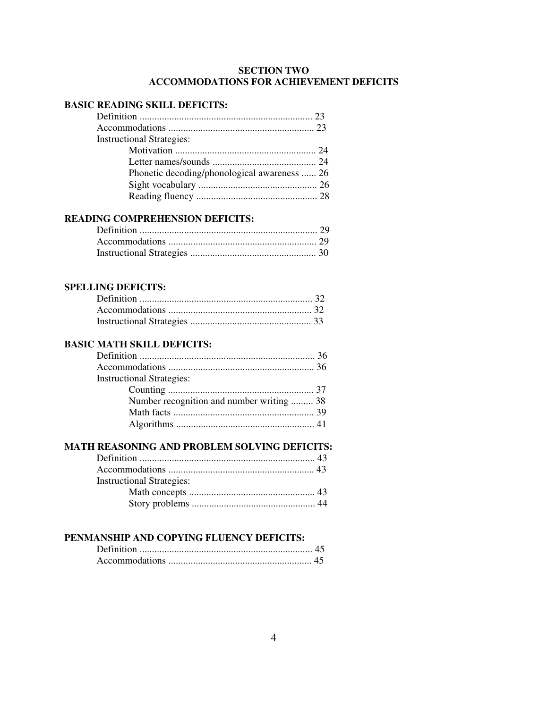# **SECTION TWO ACCOMMODATIONS FOR ACHIEVEMENT DEFICITS**

# **BASIC READING SKILL DEFICITS:**

| <b>Instructional Strategies:</b>             |  |
|----------------------------------------------|--|
|                                              |  |
|                                              |  |
| Phonetic decoding/phonological awareness  26 |  |
|                                              |  |
|                                              |  |

# **READING COMPREHENSION DEFICITS:**

# **SPELLING DEFICITS:**

# **BASIC MATH SKILL DEFICITS:**

| <b>Instructional Strategies:</b>          |  |
|-------------------------------------------|--|
|                                           |  |
| Number recognition and number writing  38 |  |
|                                           |  |
|                                           |  |
|                                           |  |

# **MATH REASONING AND PROBLEM SOLVING DEFICITS:**

| <b>Instructional Strategies:</b> |  |
|----------------------------------|--|
|                                  |  |
|                                  |  |

# **PENMANSHIP AND COPYING FLUENCY DEFICITS:**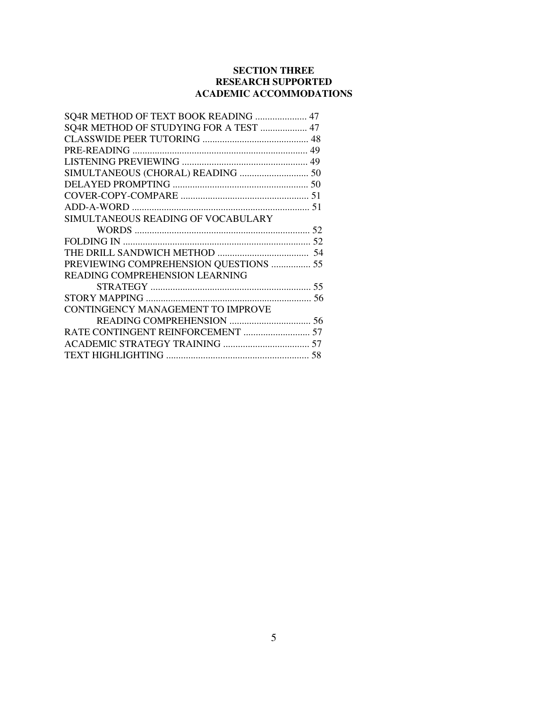# **SECTION THREE RESEARCH SUPPORTED ACADEMIC ACCOMMODATIONS**

| SQ4R METHOD OF TEXT BOOK READING  47   |  |
|----------------------------------------|--|
| SQ4R METHOD OF STUDYING FOR A TEST  47 |  |
|                                        |  |
|                                        |  |
|                                        |  |
| SIMULTANEOUS (CHORAL) READING  50      |  |
|                                        |  |
|                                        |  |
|                                        |  |
| SIMULTANEOUS READING OF VOCABULARY     |  |
|                                        |  |
|                                        |  |
|                                        |  |
| PREVIEWING COMPREHENSION QUESTIONS  55 |  |
| <b>READING COMPREHENSION LEARNING</b>  |  |
|                                        |  |
|                                        |  |
| CONTINGENCY MANAGEMENT TO IMPROVE      |  |
|                                        |  |
| RATE CONTINGENT REINFORCEMENT  57      |  |
|                                        |  |
|                                        |  |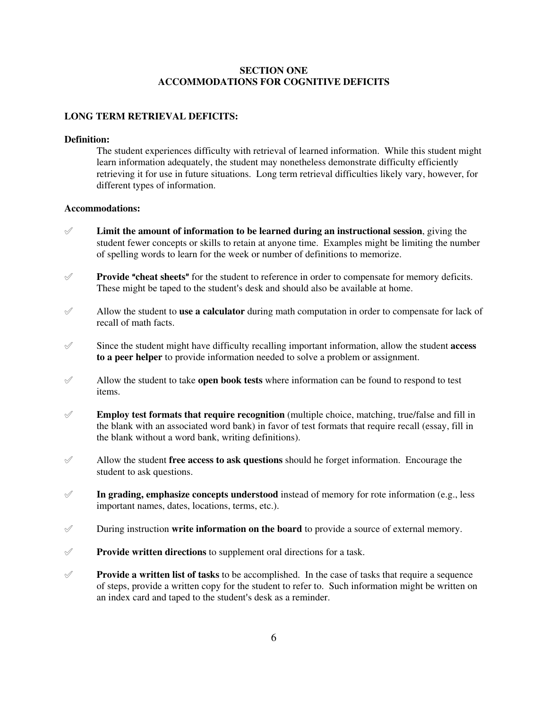# **SECTION ONE ACCOMMODATIONS FOR COGNITIVE DEFICITS**

#### **LONG TERM RETRIEVAL DEFICITS:**

#### **Definition:**

The student experiences difficulty with retrieval of learned information. While this student might learn information adequately, the student may nonetheless demonstrate difficulty efficiently retrieving it for use in future situations. Long term retrieval difficulties likely vary, however, for different types of information.

#### **Accommodations:**

- ° **Limit the amount of information to be learned during an instructional session**, giving the student fewer concepts or skills to retain at anyone time. Examples might be limiting the number of spelling words to learn for the week or number of definitions to memorize.
- $\mathscr Y$  **Provide "cheat sheets"** for the student to reference in order to compensate for memory deficits. These might be taped to the student's desk and should also be available at home.
- ° Allow the student to **use a calculator** during math computation in order to compensate for lack of recall of math facts.
- $\mathscr I$  Since the student might have difficulty recalling important information, allow the student **access to a peer helper** to provide information needed to solve a problem or assignment.
- $\mathscr A$  Allow the student to take **open book tests** where information can be found to respond to test items.
- $\mathscr X$  **Employ test formats that require recognition** (multiple choice, matching, true/false and fill in the blank with an associated word bank) in favor of test formats that require recall (essay, fill in the blank without a word bank, writing definitions).
- $\mathscr A$  Allow the student **free access to ask questions** should he forget information. Encourage the student to ask questions.
- $\mathscr I$  **In grading, emphasize concepts understood** instead of memory for rote information (e.g., less important names, dates, locations, terms, etc.).
- ° During instruction **write information on the board** to provide a source of external memory.
- ° **Provide written directions** to supplement oral directions for a task.
- $\mathscr Y$  **Provide a written list of tasks** to be accomplished. In the case of tasks that require a sequence of steps, provide a written copy for the student to refer to. Such information might be written on an index card and taped to the student's desk as a reminder.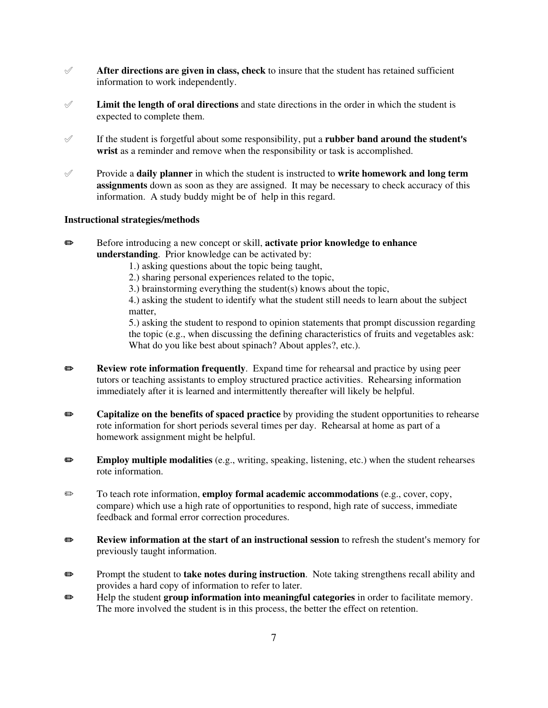- $\mathscr A$  **After directions are given in class, check** to insure that the student has retained sufficient information to work independently.
- $\mathscr I$  **Limit the length of oral directions** and state directions in the order in which the student is expected to complete them.
- $\mathscr A$  If the student is forgetful about some responsibility, put a **rubber band around the student's wrist** as a reminder and remove when the responsibility or task is accomplished.
- ° Provide a **daily planner** in which the student is instructed to **write homework and long term assignments** down as soon as they are assigned. It may be necessary to check accuracy of this information. A study buddy might be of help in this regard.

## **Instructional strategies/methods**

- **■** Before introducing a new concept or skill, **activate prior knowledge to enhance understanding**. Prior knowledge can be activated by:
	- 1.) asking questions about the topic being taught,
	- 2.) sharing personal experiences related to the topic,
	- 3.) brainstorming everything the student(s) knows about the topic,

4.) asking the student to identify what the student still needs to learn about the subject matter,

5.) asking the student to respond to opinion statements that prompt discussion regarding the topic (e.g., when discussing the defining characteristics of fruits and vegetables ask: What do you like best about spinach? About apples?, etc.).

- **Review rote information frequently.** Expand time for rehearsal and practice by using peer tutors or teaching assistants to employ structured practice activities. Rehearsing information immediately after it is learned and intermittently thereafter will likely be helpful.
- **Exercise Separation Capitalize on the benefits of spaced practice** by providing the student opportunities to rehearse rote information for short periods several times per day. Rehearsal at home as part of a homework assignment might be helpful.
- **Employ multiple modalities** (e.g., writing, speaking, listening, etc.) when the student rehearses rote information.
- P To teach rote information, **employ formal academic accommodations** (e.g., cover, copy, compare) which use a high rate of opportunities to respond, high rate of success, immediate feedback and formal error correction procedures.
- **P** Review information at the start of an instructional session to refresh the student's memory for previously taught information.
- **Prompt the student to take notes during instruction**. Note taking strengthens recall ability and provides a hard copy of information to refer to later.
- **EXECUTE:** Help the student **group information into meaningful categories** in order to facilitate memory. The more involved the student is in this process, the better the effect on retention.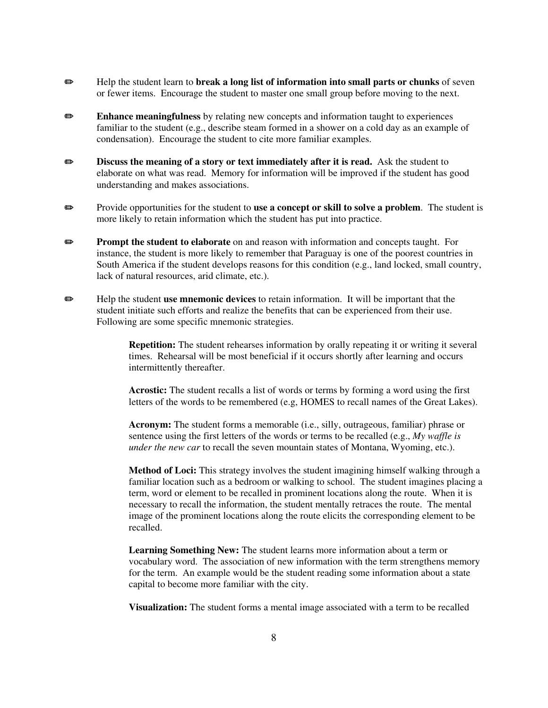- **Example 1** Help the student learn to **break a long list of information into small parts or chunks** of seven or fewer items. Encourage the student to master one small group before moving to the next.
- **Enhance meaningfulness** by relating new concepts and information taught to experiences familiar to the student (e.g., describe steam formed in a shower on a cold day as an example of condensation). Encourage the student to cite more familiar examples.
- **EXECUTE:** Discuss the meaning of a story or text immediately after it is read. Ask the student to elaborate on what was read. Memory for information will be improved if the student has good understanding and makes associations.
- **EXECUTE:** Provide opportunities for the student to **use a concept or skill to solve a problem**. The student is more likely to retain information which the student has put into practice.
- **Prompt the student to elaborate** on and reason with information and concepts taught. For instance, the student is more likely to remember that Paraguay is one of the poorest countries in South America if the student develops reasons for this condition (e.g., land locked, small country, lack of natural resources, arid climate, etc.).
- **EXECUTE:** Help the student **use mnemonic devices** to retain information. It will be important that the student initiate such efforts and realize the benefits that can be experienced from their use. Following are some specific mnemonic strategies.
	- **Repetition:** The student rehearses information by orally repeating it or writing it several times. Rehearsal will be most beneficial if it occurs shortly after learning and occurs intermittently thereafter.

**Acrostic:** The student recalls a list of words or terms by forming a word using the first letters of the words to be remembered (e.g, HOMES to recall names of the Great Lakes).

**Acronym:** The student forms a memorable (i.e., silly, outrageous, familiar) phrase or sentence using the first letters of the words or terms to be recalled (e.g., *My waffle is under the new car* to recall the seven mountain states of Montana, Wyoming, etc.).

**Method of Loci:** This strategy involves the student imagining himself walking through a familiar location such as a bedroom or walking to school. The student imagines placing a term, word or element to be recalled in prominent locations along the route. When it is necessary to recall the information, the student mentally retraces the route. The mental image of the prominent locations along the route elicits the corresponding element to be recalled.

**Learning Something New:** The student learns more information about a term or vocabulary word. The association of new information with the term strengthens memory for the term. An example would be the student reading some information about a state capital to become more familiar with the city.

**Visualization:** The student forms a mental image associated with a term to be recalled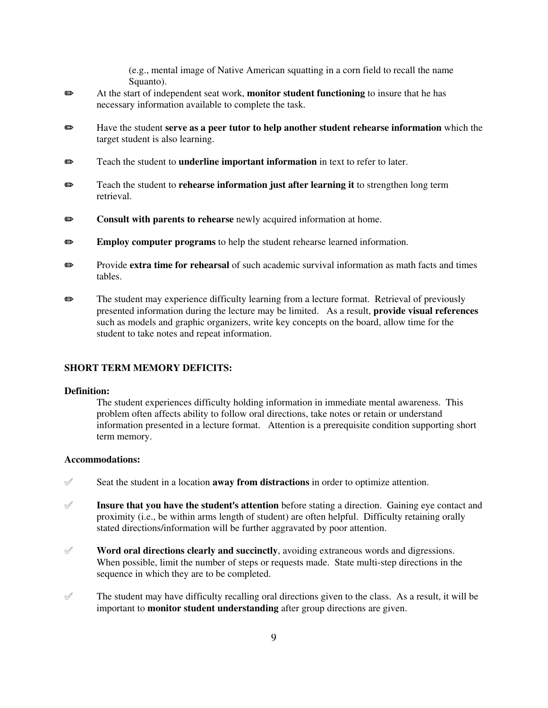(e.g., mental image of Native American squatting in a corn field to recall the name Squanto).

- P At the start of independent seat work, **monitor student functioning** to insure that he has necessary information available to complete the task.
- P Have the student **serve as a peer tutor to help another student rehearse information** which the target student is also learning.
- **P** Teach the student to **underline important information** in text to refer to later.
- **P** Teach the student to **rehearse information just after learning it** to strengthen long term retrieval.
- **EXECUTE:** Consult with parents to rehearse newly acquired information at home.
- **Employ computer programs** to help the student rehearse learned information.
- **Exterm** Provide **extra time for rehearsal** of such academic survival information as math facts and times tables.
- $\bullet$  The student may experience difficulty learning from a lecture format. Retrieval of previously presented information during the lecture may be limited. As a result, **provide visual references** such as models and graphic organizers, write key concepts on the board, allow time for the student to take notes and repeat information.

#### **SHORT TERM MEMORY DEFICITS:**

#### **Definition:**

The student experiences difficulty holding information in immediate mental awareness. This problem often affects ability to follow oral directions, take notes or retain or understand information presented in a lecture format. Attention is a prerequisite condition supporting short term memory.

## **Accommodations:**

- ° Seat the student in a location **away from distractions** in order to optimize attention.
- **Insure that you have the student's attention** before stating a direction. Gaining eye contact and proximity (i.e., be within arms length of student) are often helpful. Difficulty retaining orally stated directions/information will be further aggravated by poor attention.
- $\mathscr V$  **Word oral directions clearly and succinctly**, avoiding extraneous words and digressions. When possible, limit the number of steps or requests made. State multi-step directions in the sequence in which they are to be completed.
- $\mathscr Y$  The student may have difficulty recalling oral directions given to the class. As a result, it will be important to **monitor student understanding** after group directions are given.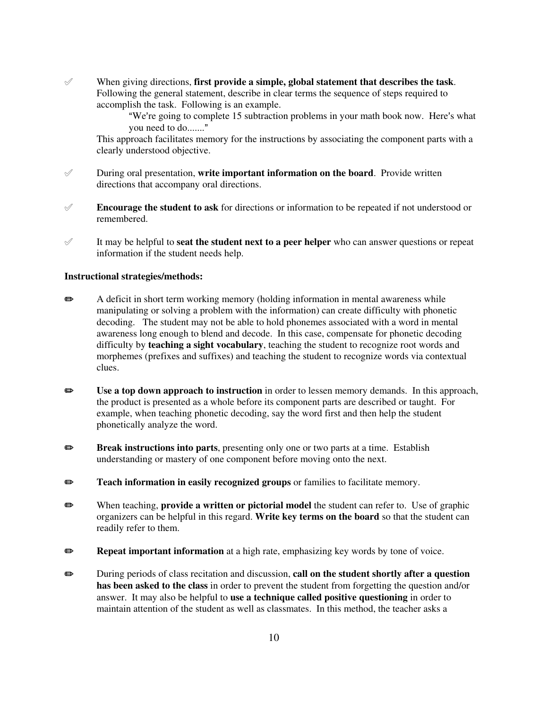° When giving directions, **first provide a simple, global statement that describes the task**. Following the general statement, describe in clear terms the sequence of steps required to accomplish the task. Following is an example.

> "We're going to complete 15 subtraction problems in your math book now. Here's what you need to do......."

This approach facilitates memory for the instructions by associating the component parts with a clearly understood objective.

- $\mathscr Y$  During oral presentation, **write important information on the board**. Provide written directions that accompany oral directions.
- $\mathscr X$  **Encourage the student to ask** for directions or information to be repeated if not understood or remembered.
- $\mathscr I$  It may be helpful to **seat the student next to a peer helper** who can answer questions or repeat information if the student needs help.

## **Instructional strategies/methods:**

- $\bullet$  A deficit in short term working memory (holding information in mental awareness while manipulating or solving a problem with the information) can create difficulty with phonetic decoding. The student may not be able to hold phonemes associated with a word in mental awareness long enough to blend and decode. In this case, compensate for phonetic decoding difficulty by **teaching a sight vocabulary**, teaching the student to recognize root words and morphemes (prefixes and suffixes) and teaching the student to recognize words via contextual clues.
- **EXECUTE:** Use a top down approach to instruction in order to lessen memory demands. In this approach, the product is presented as a whole before its component parts are described or taught. For example, when teaching phonetic decoding, say the word first and then help the student phonetically analyze the word.
- **Break instructions into parts**, presenting only one or two parts at a time. Establish understanding or mastery of one component before moving onto the next.
- **Teach information in easily recognized groups** or families to facilitate memory.
- **EXECUTE:** When teaching, **provide a written or pictorial model** the student can refer to. Use of graphic organizers can be helpful in this regard. **Write key terms on the board** so that the student can readily refer to them.
- **EXEM** Repeat important information at a high rate, emphasizing key words by tone of voice.
- **Example 3** During periods of class recitation and discussion, **call on the student shortly after a question has been asked to the class** in order to prevent the student from forgetting the question and/or answer. It may also be helpful to **use a technique called positive questioning** in order to maintain attention of the student as well as classmates. In this method, the teacher asks a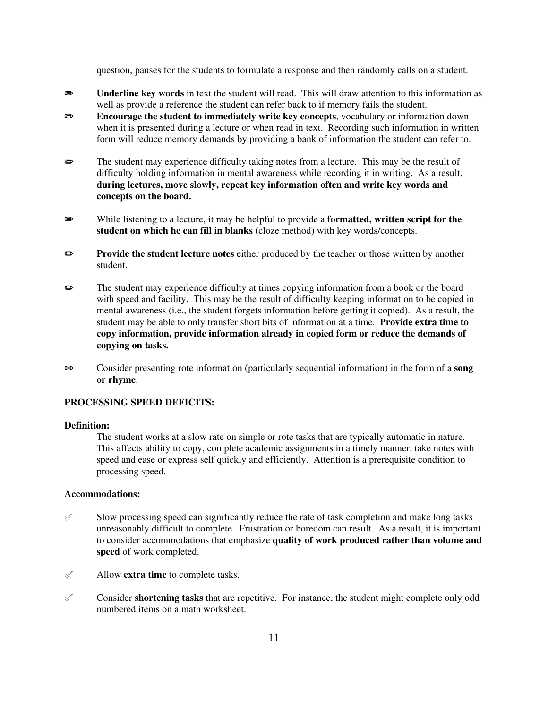question, pauses for the students to formulate a response and then randomly calls on a student.

- **Example 1** Underline key words in text the student will read. This will draw attention to this information as well as provide a reference the student can refer back to if memory fails the student.
- **EXECUTE:** Encourage the student to immediately write key concepts, vocabulary or information down when it is presented during a lecture or when read in text. Recording such information in written form will reduce memory demands by providing a bank of information the student can refer to.
- The student may experience difficulty taking notes from a lecture. This may be the result of difficulty holding information in mental awareness while recording it in writing. As a result, **during lectures, move slowly, repeat key information often and write key words and concepts on the board.**
- **EXECTER While listening to a lecture, it may be helpful to provide a formatted, written script for the student on which he can fill in blanks** (cloze method) with key words/concepts.
- **Provide the student lecture notes** either produced by the teacher or those written by another student.
- **P** The student may experience difficulty at times copying information from a book or the board with speed and facility. This may be the result of difficulty keeping information to be copied in mental awareness (i.e., the student forgets information before getting it copied). As a result, the student may be able to only transfer short bits of information at a time. **Provide extra time to copy information, provide information already in copied form or reduce the demands of copying on tasks.**
- P Consider presenting rote information (particularly sequential information) in the form of a **song or rhyme**.

## **PROCESSING SPEED DEFICITS:**

#### **Definition:**

The student works at a slow rate on simple or rote tasks that are typically automatic in nature. This affects ability to copy, complete academic assignments in a timely manner, take notes with speed and ease or express self quickly and efficiently. Attention is a prerequisite condition to processing speed.

#### **Accommodations:**

- $\mathscr S$  Slow processing speed can significantly reduce the rate of task completion and make long tasks unreasonably difficult to complete. Frustration or boredom can result. As a result, it is important to consider accommodations that emphasize **quality of work produced rather than volume and speed** of work completed.
- ° Allow **extra time** to complete tasks.
- ° Consider **shortening tasks** that are repetitive. For instance, the student might complete only odd numbered items on a math worksheet.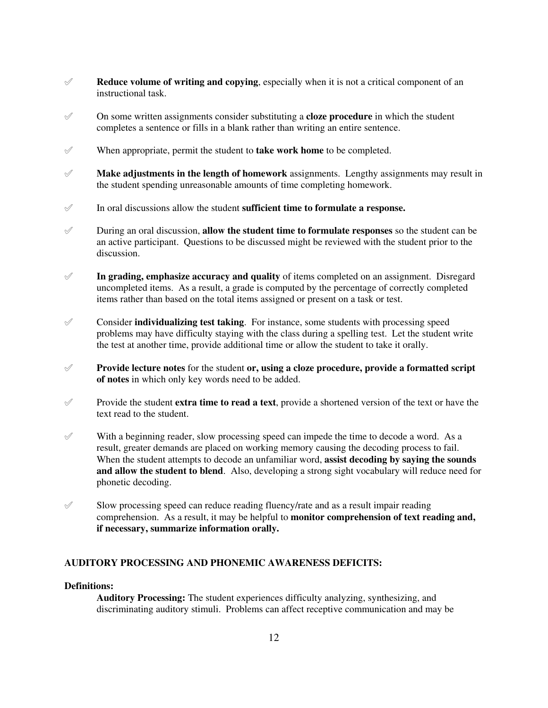- $\mathscr A$  **Reduce volume of writing and copying**, especially when it is not a critical component of an instructional task.
- ° On some written assignments consider substituting a **cloze procedure** in which the student completes a sentence or fills in a blank rather than writing an entire sentence.
- $\mathscr Y$  When appropriate, permit the student to **take work home** to be completed.
- $\mathscr X$  **Make adjustments in the length of homework** assignments. Lengthy assignments may result in the student spending unreasonable amounts of time completing homework.
- ° In oral discussions allow the student **sufficient time to formulate a response.**
- $\mathscr I$  During an oral discussion, **allow the student time to formulate responses** so the student can be an active participant. Questions to be discussed might be reviewed with the student prior to the discussion.
- $\mathscr I$  **In grading, emphasize accuracy and quality** of items completed on an assignment. Disregard uncompleted items. As a result, a grade is computed by the percentage of correctly completed items rather than based on the total items assigned or present on a task or test.
- $\mathscr X$  Consider **individualizing test taking**. For instance, some students with processing speed problems may have difficulty staying with the class during a spelling test. Let the student write the test at another time, provide additional time or allow the student to take it orally.
- ° **Provide lecture notes** for the student **or, using a cloze procedure, provide a formatted script of notes** in which only key words need to be added.
- $\mathscr Y$  Provide the student **extra time to read a text**, provide a shortened version of the text or have the text read to the student.
- $\mathscr Y$  With a beginning reader, slow processing speed can impede the time to decode a word. As a result, greater demands are placed on working memory causing the decoding process to fail. When the student attempts to decode an unfamiliar word, **assist decoding by saying the sounds and allow the student to blend**. Also, developing a strong sight vocabulary will reduce need for phonetic decoding.
- $\mathscr S$  Slow processing speed can reduce reading fluency/rate and as a result impair reading comprehension. As a result, it may be helpful to **monitor comprehension of text reading and, if necessary, summarize information orally.**

# **AUDITORY PROCESSING AND PHONEMIC AWARENESS DEFICITS:**

# **Definitions:**

**Auditory Processing:** The student experiences difficulty analyzing, synthesizing, and discriminating auditory stimuli. Problems can affect receptive communication and may be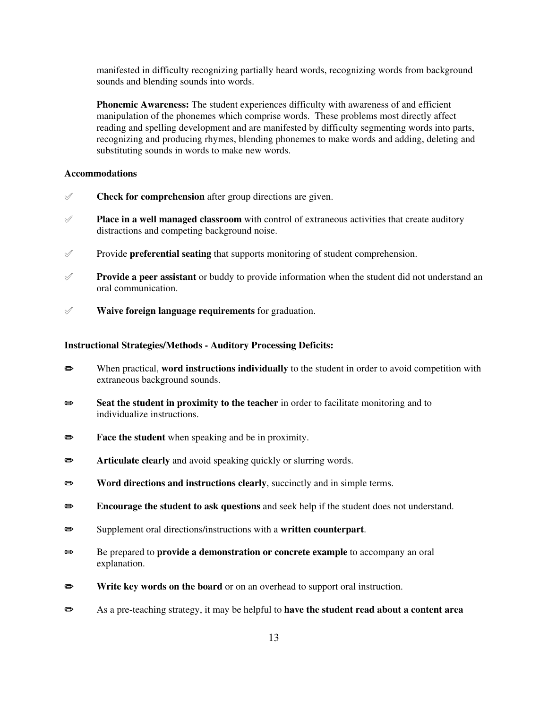manifested in difficulty recognizing partially heard words, recognizing words from background sounds and blending sounds into words.

**Phonemic Awareness:** The student experiences difficulty with awareness of and efficient manipulation of the phonemes which comprise words. These problems most directly affect reading and spelling development and are manifested by difficulty segmenting words into parts, recognizing and producing rhymes, blending phonemes to make words and adding, deleting and substituting sounds in words to make new words.

# **Accommodations**

- $\mathscr V$  **Check for comprehension** after group directions are given.
- **Place in a well managed classroom** with control of extraneous activities that create auditory distractions and competing background noise.
- ° Provide **preferential seating** that supports monitoring of student comprehension.
- $\mathscr Y$  **Provide a peer assistant** or buddy to provide information when the student did not understand an oral communication.
- ° **Waive foreign language requirements** for graduation.

## **Instructional Strategies/Methods - Auditory Processing Deficits:**

- P When practical, **word instructions individually** to the student in order to avoid competition with extraneous background sounds.
- **Seat the student in proximity to the teacher** in order to facilitate monitoring and to individualize instructions.
- **Face the student** when speaking and be in proximity.
- **Exercise 3** Articulate clearly and avoid speaking quickly or slurring words.
- **EXECUTE:** Word directions and instructions clearly, succinctly and in simple terms.
- **Encourage the student to ask questions** and seek help if the student does not understand.
- P Supplement oral directions/instructions with a **written counterpart**.
- **■** Be prepared to **provide a demonstration or concrete example** to accompany an oral explanation.
- **P** Write key words on the board or on an overhead to support oral instruction.
- P As a pre-teaching strategy, it may be helpful to **have the student read about a content area**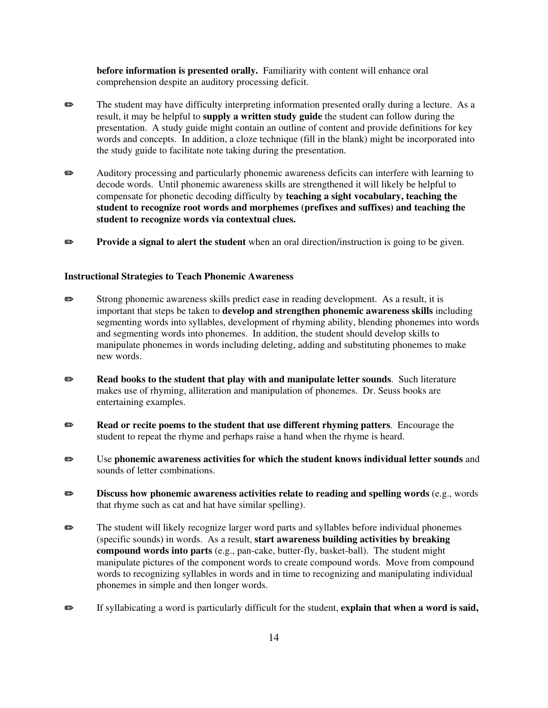**before information is presented orally.** Familiarity with content will enhance oral comprehension despite an auditory processing deficit.

- **Example 3** The student may have difficulty interpreting information presented orally during a lecture. As a result, it may be helpful to **supply a written study guide** the student can follow during the presentation. A study guide might contain an outline of content and provide definitions for key words and concepts. In addition, a cloze technique (fill in the blank) might be incorporated into the study guide to facilitate note taking during the presentation.
- $\bullet$  Auditory processing and particularly phonemic awareness deficits can interfere with learning to decode words. Until phonemic awareness skills are strengthened it will likely be helpful to compensate for phonetic decoding difficulty by **teaching a sight vocabulary, teaching the student to recognize root words and morphemes (prefixes and suffixes) and teaching the student to recognize words via contextual clues.**
- **Provide a signal to alert the student** when an oral direction/instruction is going to be given.

#### **Instructional Strategies to Teach Phonemic Awareness**

- $\bullet$  Strong phonemic awareness skills predict ease in reading development. As a result, it is important that steps be taken to **develop and strengthen phonemic awareness skills** including segmenting words into syllables, development of rhyming ability, blending phonemes into words and segmenting words into phonemes. In addition, the student should develop skills to manipulate phonemes in words including deleting, adding and substituting phonemes to make new words.
- **EXECUTE:** Read books to the student that play with and manipulate letter sounds. Such literature makes use of rhyming, alliteration and manipulation of phonemes. Dr. Seuss books are entertaining examples.
- **P Read or recite poems to the student that use different rhyming patters.** Encourage the student to repeat the rhyme and perhaps raise a hand when the rhyme is heard.
- P Use **phonemic awareness activities for which the student knows individual letter sounds** and sounds of letter combinations.
- **EXECUTE:** Discuss how phonemic awareness activities relate to reading and spelling words (e.g., words that rhyme such as cat and hat have similar spelling).
- $\bullet$  The student will likely recognize larger word parts and syllables before individual phonemes (specific sounds) in words. As a result, **start awareness building activities by breaking compound words into parts** (e.g., pan-cake, butter-fly, basket-ball). The student might manipulate pictures of the component words to create compound words. Move from compound words to recognizing syllables in words and in time to recognizing and manipulating individual phonemes in simple and then longer words.
- **Example 3** If syllabicating a word is particularly difficult for the student, **explain that when a word is said,**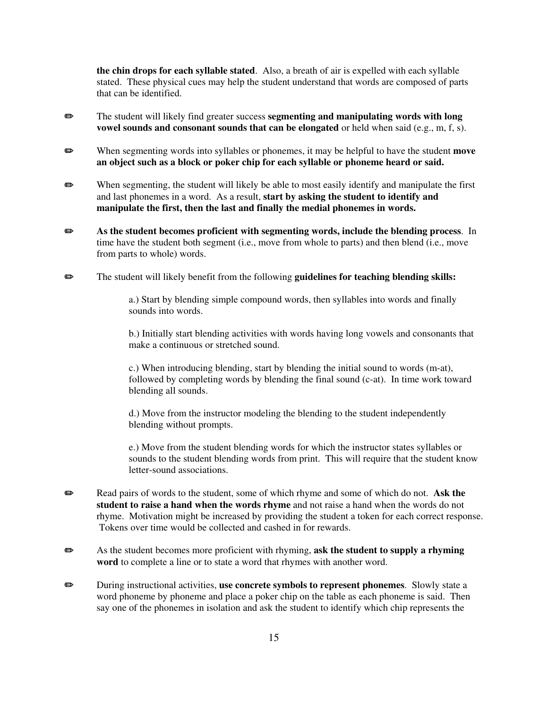**the chin drops for each syllable stated**. Also, a breath of air is expelled with each syllable stated. These physical cues may help the student understand that words are composed of parts that can be identified.

- **EXECUTE:** The student will likely find greater success **segmenting and manipulating words with long vowel sounds and consonant sounds that can be elongated** or held when said (e.g., m, f, s).
- **Example 3** When segmenting words into syllables or phonemes, it may be helpful to have the student **move an object such as a block or poker chip for each syllable or phoneme heard or said.**
- $\bullet$  When segmenting, the student will likely be able to most easily identify and manipulate the first and last phonemes in a word. As a result, **start by asking the student to identify and manipulate the first, then the last and finally the medial phonemes in words.**
- $\bullet$  As the student becomes proficient with segmenting words, include the blending process. In time have the student both segment (i.e., move from whole to parts) and then blend (i.e., move from parts to whole) words.
- **Example 3** The student will likely benefit from the following **guidelines for teaching blending skills:**

a.) Start by blending simple compound words, then syllables into words and finally sounds into words.

b.) Initially start blending activities with words having long vowels and consonants that make a continuous or stretched sound.

c.) When introducing blending, start by blending the initial sound to words (m-at), followed by completing words by blending the final sound (c-at). In time work toward blending all sounds.

d.) Move from the instructor modeling the blending to the student independently blending without prompts.

e.) Move from the student blending words for which the instructor states syllables or sounds to the student blending words from print. This will require that the student know letter-sound associations.

- **P** Read pairs of words to the student, some of which rhyme and some of which do not. Ask the **student to raise a hand when the words rhyme** and not raise a hand when the words do not rhyme. Motivation might be increased by providing the student a token for each correct response. Tokens over time would be collected and cashed in for rewards.
- **Example 3** As the student becomes more proficient with rhyming, ask the student to supply a rhyming **word** to complete a line or to state a word that rhymes with another word.
- **P** During instructional activities, use concrete symbols to represent phonemes. Slowly state a word phoneme by phoneme and place a poker chip on the table as each phoneme is said. Then say one of the phonemes in isolation and ask the student to identify which chip represents the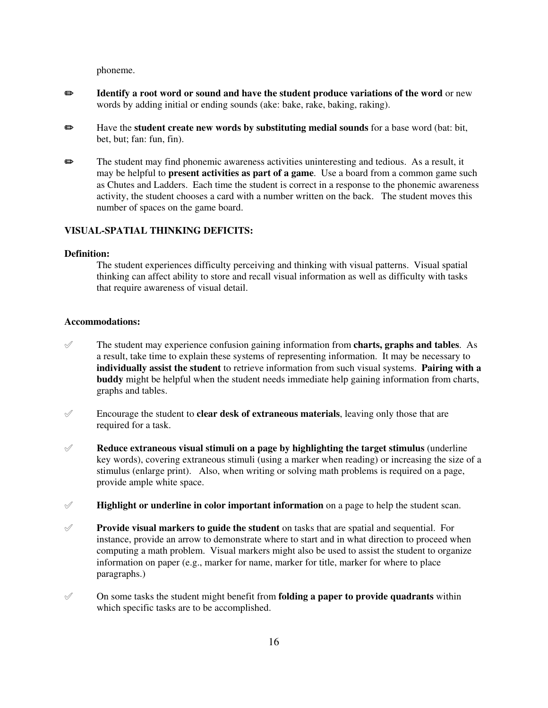phoneme.

- **Example 3 Identify a root word or sound and have the student produce variations of the word** or new words by adding initial or ending sounds (ake: bake, rake, baking, raking).
- P Have the **student create new words by substituting medial sounds** for a base word (bat: bit, bet, but; fan: fun, fin).
- The student may find phonemic awareness activities uninteresting and tedious. As a result, it may be helpful to **present activities as part of a game**. Use a board from a common game such as Chutes and Ladders. Each time the student is correct in a response to the phonemic awareness activity, the student chooses a card with a number written on the back. The student moves this number of spaces on the game board.

# **VISUAL-SPATIAL THINKING DEFICITS:**

#### **Definition:**

The student experiences difficulty perceiving and thinking with visual patterns. Visual spatial thinking can affect ability to store and recall visual information as well as difficulty with tasks that require awareness of visual detail.

#### **Accommodations:**

- $\mathscr I$  The student may experience confusion gaining information from **charts, graphs and tables**. As a result, take time to explain these systems of representing information. It may be necessary to **individually assist the student** to retrieve information from such visual systems. **Pairing with a buddy** might be helpful when the student needs immediate help gaining information from charts, graphs and tables.
- $\mathscr I$  Encourage the student to **clear desk of extraneous materials**, leaving only those that are required for a task.
- $\mathscr A$  **Reduce extraneous visual stimuli on a page by highlighting the target stimulus** (underline key words), covering extraneous stimuli (using a marker when reading) or increasing the size of a stimulus (enlarge print). Also, when writing or solving math problems is required on a page, provide ample white space.
- $\mathcal{P}$  **Highlight or underline in color important information** on a page to help the student scan.
- ° **Provide visual markers to guide the student** on tasks that are spatial and sequential. For instance, provide an arrow to demonstrate where to start and in what direction to proceed when computing a math problem. Visual markers might also be used to assist the student to organize information on paper (e.g., marker for name, marker for title, marker for where to place paragraphs.)
- $\mathcal O$  On some tasks the student might benefit from **folding a paper to provide quadrants** within which specific tasks are to be accomplished.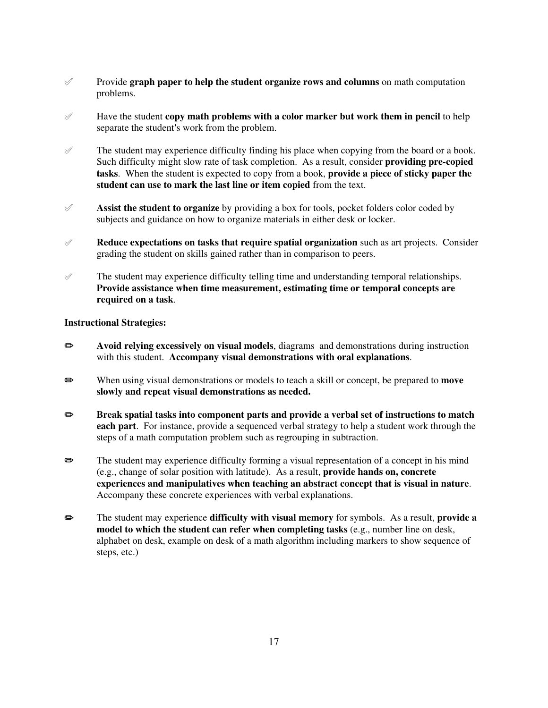- ° Provide **graph paper to help the student organize rows and columns** on math computation problems.
- $\mathcal{P}$  Have the student **copy math problems with a color marker but work them in pencil** to help separate the student's work from the problem.
- $\mathcal V$  The student may experience difficulty finding his place when copying from the board or a book. Such difficulty might slow rate of task completion. As a result, consider **providing pre-copied tasks**. When the student is expected to copy from a book, **provide a piece of sticky paper the student can use to mark the last line or item copied** from the text.
- ° **Assist the student to organize** by providing a box for tools, pocket folders color coded by subjects and guidance on how to organize materials in either desk or locker.
- ° **Reduce expectations on tasks that require spatial organization** such as art projects. Consider grading the student on skills gained rather than in comparison to peers.
- $\mathcal{P}$  The student may experience difficulty telling time and understanding temporal relationships. **Provide assistance when time measurement, estimating time or temporal concepts are required on a task**.

- $\Rightarrow$  Avoid relying excessively on visual models, diagrams and demonstrations during instruction with this student. **Accompany visual demonstrations with oral explanations**.
- **EXECUTE:** When using visual demonstrations or models to teach a skill or concept, be prepared to **move slowly and repeat visual demonstrations as needed.**
- **Break spatial tasks into component parts and provide a verbal set of instructions to match each part**. For instance, provide a sequenced verbal strategy to help a student work through the steps of a math computation problem such as regrouping in subtraction.
- $\bullet$  The student may experience difficulty forming a visual representation of a concept in his mind (e.g., change of solar position with latitude). As a result, **provide hands on, concrete experiences and manipulatives when teaching an abstract concept that is visual in nature**. Accompany these concrete experiences with verbal explanations.
- **Example 3** The student may experience **difficulty with visual memory** for symbols. As a result, **provide a model to which the student can refer when completing tasks** (e.g., number line on desk, alphabet on desk, example on desk of a math algorithm including markers to show sequence of steps, etc.)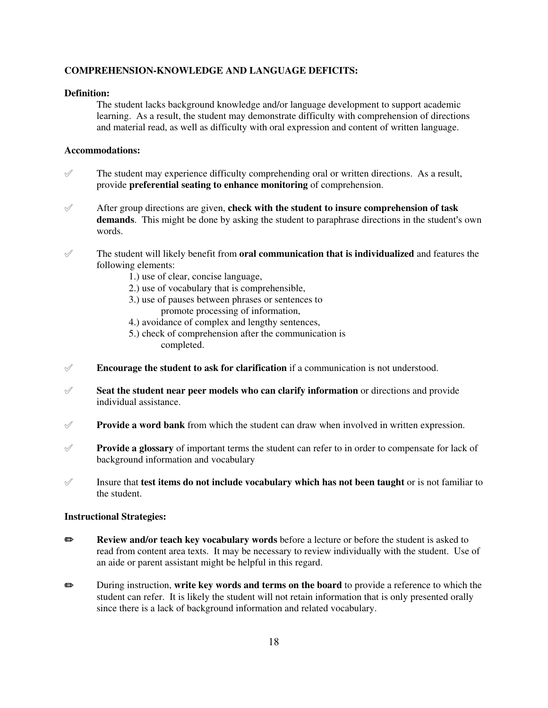# **COMPREHENSION-KNOWLEDGE AND LANGUAGE DEFICITS:**

# **Definition:**

The student lacks background knowledge and/or language development to support academic learning. As a result, the student may demonstrate difficulty with comprehension of directions and material read, as well as difficulty with oral expression and content of written language.

# **Accommodations:**

- $\mathcal{P}$  The student may experience difficulty comprehending oral or written directions. As a result, provide **preferential seating to enhance monitoring** of comprehension.
- ° After group directions are given, **check with the student to insure comprehension of task demands**. This might be done by asking the student to paraphrase directions in the student's own words.
- $\mathcal{P}$  The student will likely benefit from **oral communication that is individualized** and features the following elements:
	- 1.) use of clear, concise language,
	- 2.) use of vocabulary that is comprehensible,
	- 3.) use of pauses between phrases or sentences to promote processing of information,
	- 4.) avoidance of complex and lengthy sentences,
	- 5.) check of comprehension after the communication is completed.
- $\mathscr I$  **Encourage the student to ask for clarification** if a communication is not understood.
- ° **Seat the student near peer models who can clarify information** or directions and provide individual assistance.
- **Provide a word bank** from which the student can draw when involved in written expression.
- ° **Provide a glossary** of important terms the student can refer to in order to compensate for lack of background information and vocabulary
- $\mathscr I$  Insure that **test items do not include vocabulary which has not been taught** or is not familiar to the student.

- **EXECTE REVIEW AND REVIEW AND REVIEW AND KEY VOCABULARY WORDS** before a lecture or before the student is asked to read from content area texts. It may be necessary to review individually with the student. Use of an aide or parent assistant might be helpful in this regard.
- P During instruction, **write key words and terms on the board** to provide a reference to which the student can refer. It is likely the student will not retain information that is only presented orally since there is a lack of background information and related vocabulary.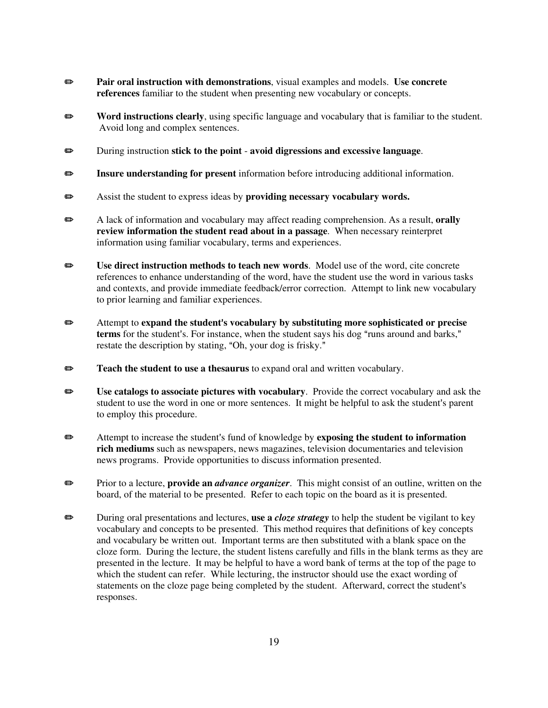- **Pair oral instruction with demonstrations**, visual examples and models. Use concrete **references** familiar to the student when presenting new vocabulary or concepts.
- **EXECUTE:** Word instructions clearly, using specific language and vocabulary that is familiar to the student. Avoid long and complex sentences.
- P During instruction **stick to the point avoid digressions and excessive language**.
- P **Insure understanding for present** information before introducing additional information.
- P Assist the student to express ideas by **providing necessary vocabulary words.**
- **EXECUTE:** A lack of information and vocabulary may affect reading comprehension. As a result, **orally review information the student read about in a passage**. When necessary reinterpret information using familiar vocabulary, terms and experiences.
- **Example 3** Use direct instruction methods to teach new words. Model use of the word, cite concrete references to enhance understanding of the word, have the student use the word in various tasks and contexts, and provide immediate feedback/error correction. Attempt to link new vocabulary to prior learning and familiar experiences.
- **Example 3** Attempt to expand the student's vocabulary by substituting more sophisticated or precise terms for the student's. For instance, when the student says his dog "runs around and barks," restate the description by stating, "Oh, your dog is frisky."
- **EXECUTE:** Teach the student to use a thesaurus to expand oral and written vocabulary.
- **EXECUTE:** Use catalogs to associate pictures with vocabulary. Provide the correct vocabulary and ask the student to use the word in one or more sentences. It might be helpful to ask the student's parent to employ this procedure.
- **Example 3** Attempt to increase the student's fund of knowledge by **exposing the student to information rich mediums** such as newspapers, news magazines, television documentaries and television news programs. Provide opportunities to discuss information presented.
- **EXECTE:** Prior to a lecture, **provide an** *advance organizer*. This might consist of an outline, written on the board, of the material to be presented. Refer to each topic on the board as it is presented.
- P During oral presentations and lectures, **use a** *cloze strategy* to help the student be vigilant to key vocabulary and concepts to be presented. This method requires that definitions of key concepts and vocabulary be written out. Important terms are then substituted with a blank space on the cloze form. During the lecture, the student listens carefully and fills in the blank terms as they are presented in the lecture. It may be helpful to have a word bank of terms at the top of the page to which the student can refer. While lecturing, the instructor should use the exact wording of statements on the cloze page being completed by the student. Afterward, correct the student's responses.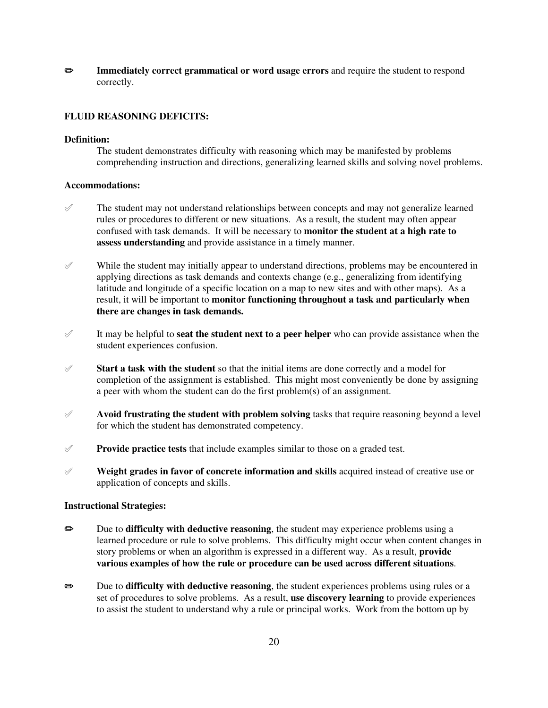**Example 3 Immediately correct grammatical or word usage errors** and require the student to respond correctly.

#### **FLUID REASONING DEFICITS:**

#### **Definition:**

The student demonstrates difficulty with reasoning which may be manifested by problems comprehending instruction and directions, generalizing learned skills and solving novel problems.

#### **Accommodations:**

- $\mathscr Y$  The student may not understand relationships between concepts and may not generalize learned rules or procedures to different or new situations. As a result, the student may often appear confused with task demands. It will be necessary to **monitor the student at a high rate to assess understanding** and provide assistance in a timely manner.
- $\mathscr Y$  While the student may initially appear to understand directions, problems may be encountered in applying directions as task demands and contexts change (e.g., generalizing from identifying latitude and longitude of a specific location on a map to new sites and with other maps). As a result, it will be important to **monitor functioning throughout a task and particularly when there are changes in task demands.**
- $\mathscr I$  It may be helpful to **seat the student next to a peer helper** who can provide assistance when the student experiences confusion.
- $\mathscr Y$  **Start a task with the student** so that the initial items are done correctly and a model for completion of the assignment is established. This might most conveniently be done by assigning a peer with whom the student can do the first problem(s) of an assignment.
- ° **Avoid frustrating the student with problem solving** tasks that require reasoning beyond a level for which the student has demonstrated competency.
- ° **Provide practice tests** that include examples similar to those on a graded test.
- ° **Weight grades in favor of concrete information and skills** acquired instead of creative use or application of concepts and skills.

- **EXECUTE:** Due to **difficulty with deductive reasoning**, the student may experience problems using a learned procedure or rule to solve problems. This difficulty might occur when content changes in story problems or when an algorithm is expressed in a different way. As a result, **provide various examples of how the rule or procedure can be used across different situations**.
- **Example 3** Due to **difficulty with deductive reasoning**, the student experiences problems using rules or a set of procedures to solve problems. As a result, **use discovery learning** to provide experiences to assist the student to understand why a rule or principal works. Work from the bottom up by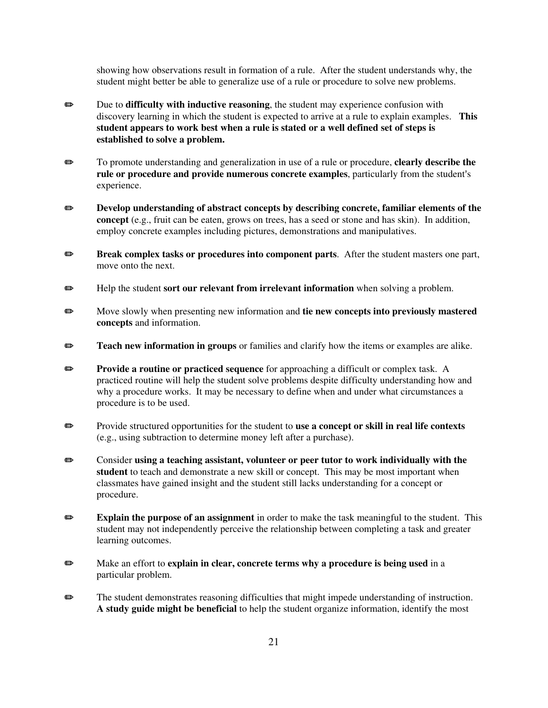showing how observations result in formation of a rule. After the student understands why, the student might better be able to generalize use of a rule or procedure to solve new problems.

- **EXECUTE:** Due to **difficulty with inductive reasoning**, the student may experience confusion with discovery learning in which the student is expected to arrive at a rule to explain examples. **This student appears to work best when a rule is stated or a well defined set of steps is established to solve a problem.**
- **P** To promote understanding and generalization in use of a rule or procedure, **clearly describe the rule or procedure and provide numerous concrete examples**, particularly from the student's experience.
- **EXECUTE:** Develop understanding of abstract concepts by describing concrete, familiar elements of the **concept** (e.g., fruit can be eaten, grows on trees, has a seed or stone and has skin). In addition, employ concrete examples including pictures, demonstrations and manipulatives.
- **Break complex tasks or procedures into component parts.** After the student masters one part, move onto the next.
- **EXECUTE:** Help the student **sort our relevant from irrelevant information** when solving a problem.
- **EXECUTE:** Move slowly when presenting new information and **tie new concepts into previously mastered concepts** and information.
- **EXECUTE:** Teach new information in groups or families and clarify how the items or examples are alike.
- **Provide a routine or practiced sequence** for approaching a difficult or complex task. A practiced routine will help the student solve problems despite difficulty understanding how and why a procedure works. It may be necessary to define when and under what circumstances a procedure is to be used.
- **Example 3** Provide structured opportunities for the student to **use a concept or skill in real life contexts** (e.g., using subtraction to determine money left after a purchase).
- **EXECONCIBER 15 CONSIDER 25 THE EXECUTE:** CONSIDER **EXECUTE:** CONSIDER **EXECUTE:** CONSIDER 25 THE **PROPERTIES** CONSIDER 25 THE **PROPERTIES** CONSIDER 25 THE 25 THE 25 THE 25 THE 25 THE 25 THE 25 THE 25 THE 25 THE 25 THE 25 **student** to teach and demonstrate a new skill or concept. This may be most important when classmates have gained insight and the student still lacks understanding for a concept or procedure.
- **Explain the purpose of an assignment** in order to make the task meaningful to the student. This student may not independently perceive the relationship between completing a task and greater learning outcomes.
- **P** Make an effort to **explain in clear, concrete terms why a procedure is being used** in a particular problem.
- **P** The student demonstrates reasoning difficulties that might impede understanding of instruction. **A study guide might be beneficial** to help the student organize information, identify the most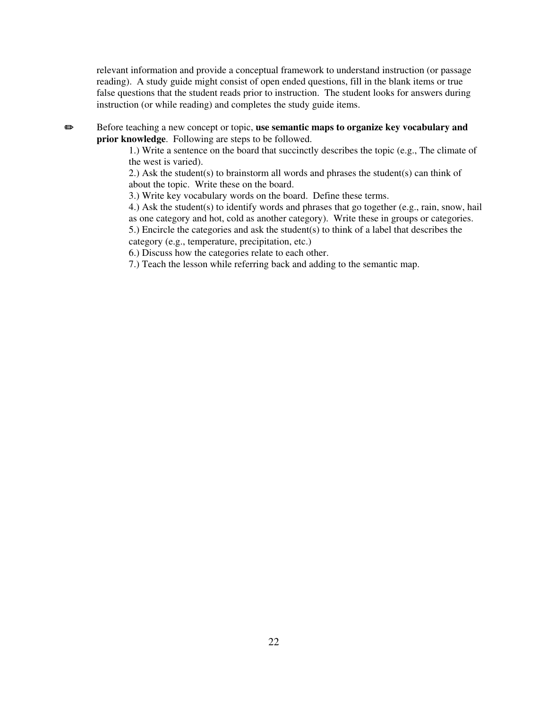relevant information and provide a conceptual framework to understand instruction (or passage reading). A study guide might consist of open ended questions, fill in the blank items or true false questions that the student reads prior to instruction. The student looks for answers during instruction (or while reading) and completes the study guide items.

**■** Before teaching a new concept or topic, **use semantic maps to organize key vocabulary and prior knowledge**. Following are steps to be followed.

> 1.) Write a sentence on the board that succinctly describes the topic (e.g., The climate of the west is varied).

2.) Ask the student(s) to brainstorm all words and phrases the student(s) can think of about the topic. Write these on the board.

3.) Write key vocabulary words on the board. Define these terms.

4.) Ask the student(s) to identify words and phrases that go together (e.g., rain, snow, hail as one category and hot, cold as another category). Write these in groups or categories.

5.) Encircle the categories and ask the student(s) to think of a label that describes the category (e.g., temperature, precipitation, etc.)

6.) Discuss how the categories relate to each other.

7.) Teach the lesson while referring back and adding to the semantic map.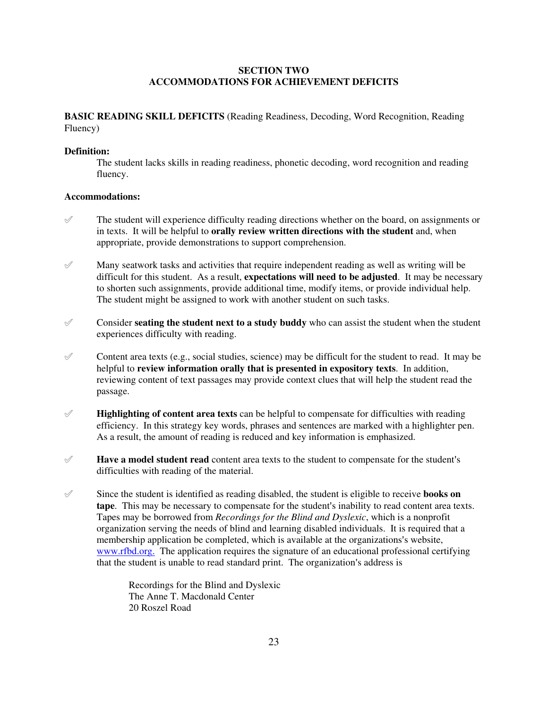# **SECTION TWO ACCOMMODATIONS FOR ACHIEVEMENT DEFICITS**

**BASIC READING SKILL DEFICITS** (Reading Readiness, Decoding, Word Recognition, Reading Fluency)

#### **Definition:**

The student lacks skills in reading readiness, phonetic decoding, word recognition and reading fluency.

# **Accommodations:**

- $\mathcal{P}$  The student will experience difficulty reading directions whether on the board, on assignments or in texts. It will be helpful to **orally review written directions with the student** and, when appropriate, provide demonstrations to support comprehension.
- $\mathscr X$  Many seatwork tasks and activities that require independent reading as well as writing will be difficult for this student. As a result, **expectations will need to be adjusted**. It may be necessary to shorten such assignments, provide additional time, modify items, or provide individual help. The student might be assigned to work with another student on such tasks.
- $\mathscr O$  Consider **seating the student next to a study buddy** who can assist the student when the student experiences difficulty with reading.
- $\mathscr O$  Content area texts (e.g., social studies, science) may be difficult for the student to read. It may be helpful to **review information orally that is presented in expository texts**. In addition, reviewing content of text passages may provide context clues that will help the student read the passage.
- $\mathscr Y$  **Highlighting of content area texts** can be helpful to compensate for difficulties with reading efficiency. In this strategy key words, phrases and sentences are marked with a highlighter pen. As a result, the amount of reading is reduced and key information is emphasized.
- $\mathscr I$  **Have a model student read** content area texts to the student to compensate for the student's difficulties with reading of the material.
- $\mathscr S$  Since the student is identified as reading disabled, the student is eligible to receive **books on tape**. This may be necessary to compensate for the student's inability to read content area texts. Tapes may be borrowed from *Recordings for the Blind and Dyslexic*, which is a nonprofit organization serving the needs of blind and learning disabled individuals. It is required that a membership application be completed, which is available at the organizations's website, www.rfbd.org. The application requires the signature of an educational professional certifying that the student is unable to read standard print. The organization's address is

Recordings for the Blind and Dyslexic The Anne T. Macdonald Center 20 Roszel Road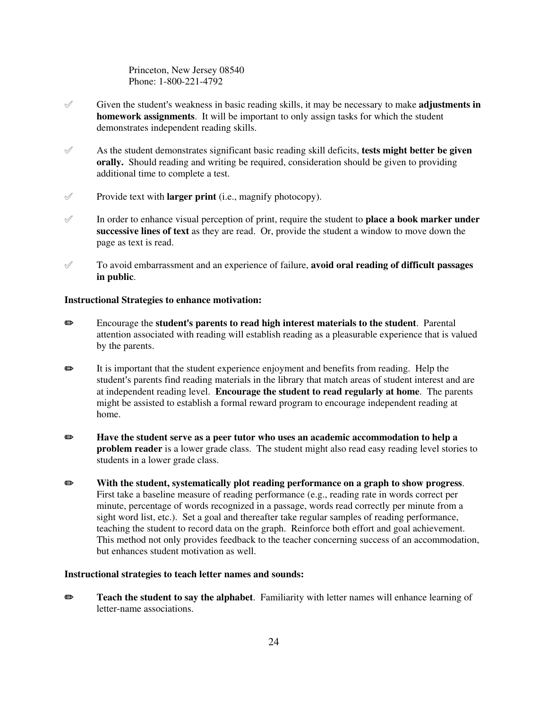Princeton, New Jersey 08540 Phone: 1-800-221-4792

- $\mathscr I$  Given the student's weakness in basic reading skills, it may be necessary to make **adjustments in homework assignments**. It will be important to only assign tasks for which the student demonstrates independent reading skills.
- $\mathscr A$  As the student demonstrates significant basic reading skill deficits, **tests might better be given orally.** Should reading and writing be required, consideration should be given to providing additional time to complete a test.
- $\mathscr Y$  Provide text with **larger print** (i.e., magnify photocopy).
- $\mathscr I$  In order to enhance visual perception of print, require the student to **place a book marker under successive lines of text** as they are read. Or, provide the student a window to move down the page as text is read.
- ° To avoid embarrassment and an experience of failure, **avoid oral reading of difficult passages in public**.

#### **Instructional Strategies to enhance motivation:**

- **■** Encourage the **student's parents to read high interest materials to the student. Parental** attention associated with reading will establish reading as a pleasurable experience that is valued by the parents.
- P It is important that the student experience enjoyment and benefits from reading. Help the student's parents find reading materials in the library that match areas of student interest and are at independent reading level. **Encourage the student to read regularly at home**. The parents might be assisted to establish a formal reward program to encourage independent reading at home.
- **EXECUTE:** Have the student serve as a peer tutor who uses an academic accommodation to help a **problem reader** is a lower grade class. The student might also read easy reading level stories to students in a lower grade class.
- P **With the student, systematically plot reading performance on a graph to show progress**. First take a baseline measure of reading performance (e.g., reading rate in words correct per minute, percentage of words recognized in a passage, words read correctly per minute from a sight word list, etc.). Set a goal and thereafter take regular samples of reading performance, teaching the student to record data on the graph. Reinforce both effort and goal achievement. This method not only provides feedback to the teacher concerning success of an accommodation, but enhances student motivation as well.

#### **Instructional strategies to teach letter names and sounds:**

**P Teach the student to say the alphabet**. Familiarity with letter names will enhance learning of letter-name associations.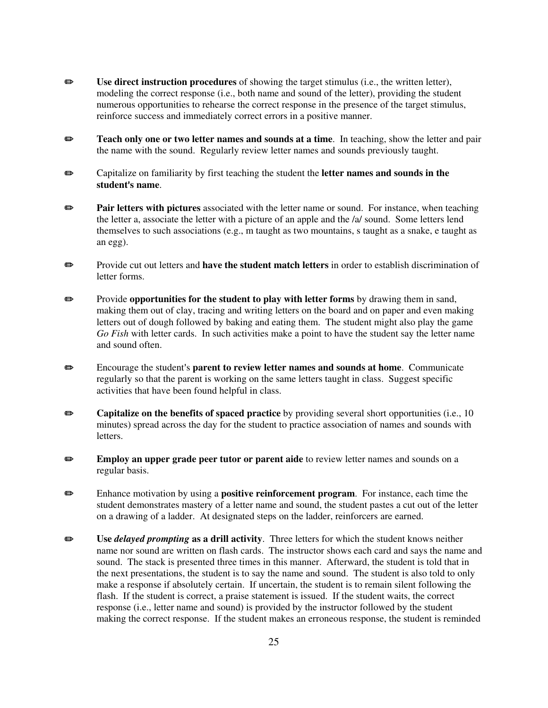- P **Use direct instruction procedures** of showing the target stimulus (i.e., the written letter), modeling the correct response (i.e., both name and sound of the letter), providing the student numerous opportunities to rehearse the correct response in the presence of the target stimulus, reinforce success and immediately correct errors in a positive manner.
- **Example 3 Teach only one or two letter names and sounds at a time**. In teaching, show the letter and pair the name with the sound. Regularly review letter names and sounds previously taught.
- **Exercise** Capitalize on familiarity by first teaching the student the **letter names and sounds in the student's name.**
- **Pair letters with pictures** associated with the letter name or sound. For instance, when teaching the letter a, associate the letter with a picture of an apple and the /a/ sound. Some letters lend themselves to such associations (e.g., m taught as two mountains, s taught as a snake, e taught as an egg).
- **EXECUTE:** Provide cut out letters and **have the student match letters** in order to establish discrimination of letter forms.
- **EXECUTE:** Provide **opportunities for the student to play with letter forms** by drawing them in sand, making them out of clay, tracing and writing letters on the board and on paper and even making letters out of dough followed by baking and eating them. The student might also play the game *Go Fish* with letter cards. In such activities make a point to have the student say the letter name and sound often.
- **■** Encourage the student's **parent to review letter names and sounds at home**. Communicate regularly so that the parent is working on the same letters taught in class. Suggest specific activities that have been found helpful in class.
- **Exercise 3** Capitalize on the benefits of spaced practice by providing several short opportunities (i.e., 10 minutes) spread across the day for the student to practice association of names and sounds with letters.
- **Employ an upper grade peer tutor or parent aide** to review letter names and sounds on a regular basis.
- P Enhance motivation by using a **positive reinforcement program**. For instance, each time the student demonstrates mastery of a letter name and sound, the student pastes a cut out of the letter on a drawing of a ladder. At designated steps on the ladder, reinforcers are earned.
- **Example 3** Use *delayed prompting* as a drill activity. Three letters for which the student knows neither name nor sound are written on flash cards. The instructor shows each card and says the name and sound. The stack is presented three times in this manner. Afterward, the student is told that in the next presentations, the student is to say the name and sound. The student is also told to only make a response if absolutely certain. If uncertain, the student is to remain silent following the flash. If the student is correct, a praise statement is issued. If the student waits, the correct response (i.e., letter name and sound) is provided by the instructor followed by the student making the correct response. If the student makes an erroneous response, the student is reminded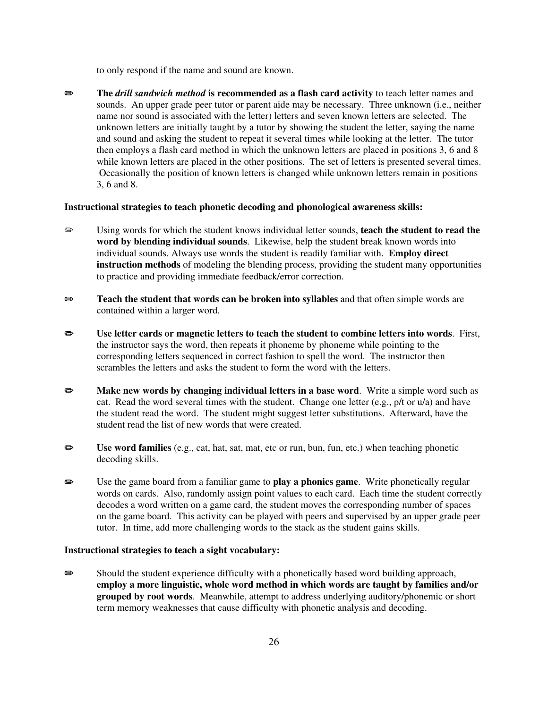to only respond if the name and sound are known.

P **The** *drill sandwich method* **is recommended as a flash card activity** to teach letter names and sounds. An upper grade peer tutor or parent aide may be necessary. Three unknown (i.e., neither name nor sound is associated with the letter) letters and seven known letters are selected. The unknown letters are initially taught by a tutor by showing the student the letter, saying the name and sound and asking the student to repeat it several times while looking at the letter. The tutor then employs a flash card method in which the unknown letters are placed in positions 3, 6 and 8 while known letters are placed in the other positions. The set of letters is presented several times. Occasionally the position of known letters is changed while unknown letters remain in positions 3, 6 and 8.

# **Instructional strategies to teach phonetic decoding and phonological awareness skills:**

- **P** Using words for which the student knows individual letter sounds, **teach the student to read the word by blending individual sounds**. Likewise, help the student break known words into individual sounds. Always use words the student is readily familiar with. **Employ direct instruction methods** of modeling the blending process, providing the student many opportunities to practice and providing immediate feedback/error correction.
- **P Teach the student that words can be broken into syllables** and that often simple words are contained within a larger word.
- P **Use letter cards or magnetic letters to teach the student to combine letters into words**. First, the instructor says the word, then repeats it phoneme by phoneme while pointing to the corresponding letters sequenced in correct fashion to spell the word. The instructor then scrambles the letters and asks the student to form the word with the letters.
- **EXECUTE:** Make new words by changing individual letters in a base word. Write a simple word such as cat. Read the word several times with the student. Change one letter (e.g., p/t or u/a) and have the student read the word. The student might suggest letter substitutions. Afterward, have the student read the list of new words that were created.
- **EXECUTE:** Use word families (e.g., cat, hat, sat, mat, etc or run, bun, fun, etc.) when teaching phonetic decoding skills.
- P Use the game board from a familiar game to **play a phonics game**. Write phonetically regular words on cards. Also, randomly assign point values to each card. Each time the student correctly decodes a word written on a game card, the student moves the corresponding number of spaces on the game board. This activity can be played with peers and supervised by an upper grade peer tutor. In time, add more challenging words to the stack as the student gains skills.

# **Instructional strategies to teach a sight vocabulary:**

 $\bullet$  Should the student experience difficulty with a phonetically based word building approach, **employ a more linguistic, whole word method in which words are taught by families and/or grouped by root words**. Meanwhile, attempt to address underlying auditory/phonemic or short term memory weaknesses that cause difficulty with phonetic analysis and decoding.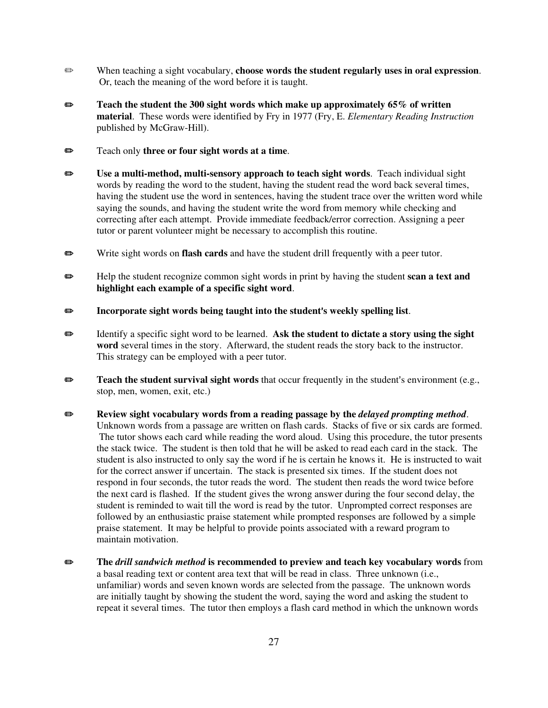- P When teaching a sight vocabulary, **choose words the student regularly uses in oral expression**. Or, teach the meaning of the word before it is taught.
- **EXECUTE:** Teach the student the 300 sight words which make up approximately 65% of written **material**. These words were identified by Fry in 1977 (Fry, E. *Elementary Reading Instruction* published by McGraw-Hill).
- **Example 3** Teach only **three or four sight words at a time**.
- P **Use a multi-method, multi-sensory approach to teach sight words**. Teach individual sight words by reading the word to the student, having the student read the word back several times, having the student use the word in sentences, having the student trace over the written word while saying the sounds, and having the student write the word from memory while checking and correcting after each attempt. Provide immediate feedback/error correction. Assigning a peer tutor or parent volunteer might be necessary to accomplish this routine.
- **P** Write sight words on **flash cards** and have the student drill frequently with a peer tutor.
- P Help the student recognize common sight words in print by having the student **scan a text and highlight each example of a specific sight word**.
- **■** Incorporate sight words being taught into the student's weekly spelling list.
- $\bullet$  Identify a specific sight word to be learned. Ask the student to dictate a story using the sight **word** several times in the story. Afterward, the student reads the story back to the instructor. This strategy can be employed with a peer tutor.
- **EXECUTE:** Teach the student survival sight words that occur frequently in the student's environment (e.g., stop, men, women, exit, etc.)
- **EXECUTE:** Review sight vocabulary words from a reading passage by the *delayed prompting method*. Unknown words from a passage are written on flash cards. Stacks of five or six cards are formed. The tutor shows each card while reading the word aloud. Using this procedure, the tutor presents the stack twice. The student is then told that he will be asked to read each card in the stack. The student is also instructed to only say the word if he is certain he knows it. He is instructed to wait for the correct answer if uncertain. The stack is presented six times. If the student does not respond in four seconds, the tutor reads the word. The student then reads the word twice before the next card is flashed. If the student gives the wrong answer during the four second delay, the student is reminded to wait till the word is read by the tutor. Unprompted correct responses are followed by an enthusiastic praise statement while prompted responses are followed by a simple praise statement. It may be helpful to provide points associated with a reward program to maintain motivation.
- P **The** *drill sandwich method* **is recommended to preview and teach key vocabulary words** from a basal reading text or content area text that will be read in class. Three unknown (i.e., unfamiliar) words and seven known words are selected from the passage. The unknown words are initially taught by showing the student the word, saying the word and asking the student to repeat it several times. The tutor then employs a flash card method in which the unknown words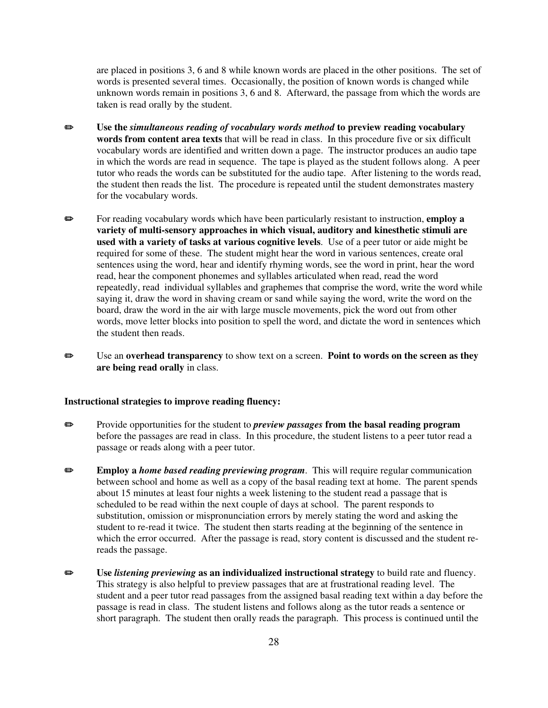are placed in positions 3, 6 and 8 while known words are placed in the other positions. The set of words is presented several times. Occasionally, the position of known words is changed while unknown words remain in positions 3, 6 and 8. Afterward, the passage from which the words are taken is read orally by the student.

- P **Use the** *simultaneous reading of vocabulary words method* **to preview reading vocabulary words from content area texts** that will be read in class. In this procedure five or six difficult vocabulary words are identified and written down a page. The instructor produces an audio tape in which the words are read in sequence. The tape is played as the student follows along. A peer tutor who reads the words can be substituted for the audio tape. After listening to the words read, the student then reads the list. The procedure is repeated until the student demonstrates mastery for the vocabulary words.
- **Example 3** For reading vocabulary words which have been particularly resistant to instruction, **employ a variety of multi-sensory approaches in which visual, auditory and kinesthetic stimuli are used with a variety of tasks at various cognitive levels**. Use of a peer tutor or aide might be required for some of these. The student might hear the word in various sentences, create oral sentences using the word, hear and identify rhyming words, see the word in print, hear the word read, hear the component phonemes and syllables articulated when read, read the word repeatedly, read individual syllables and graphemes that comprise the word, write the word while saying it, draw the word in shaving cream or sand while saying the word, write the word on the board, draw the word in the air with large muscle movements, pick the word out from other words, move letter blocks into position to spell the word, and dictate the word in sentences which the student then reads.
- P Use an **overhead transparency** to show text on a screen. **Point to words on the screen as they are being read orally** in class.

#### **Instructional strategies to improve reading fluency:**

- **Example 3** Provide opportunities for the student to *preview passages* from the basal reading program before the passages are read in class. In this procedure, the student listens to a peer tutor read a passage or reads along with a peer tutor.
- **EMPLOUGE Employ a** *home based reading previewing program*. This will require regular communication between school and home as well as a copy of the basal reading text at home. The parent spends about 15 minutes at least four nights a week listening to the student read a passage that is scheduled to be read within the next couple of days at school. The parent responds to substitution, omission or mispronunciation errors by merely stating the word and asking the student to re-read it twice. The student then starts reading at the beginning of the sentence in which the error occurred. After the passage is read, story content is discussed and the student rereads the passage.
- P **Use** *listening previewing* **as an individualized instructional strategy** to build rate and fluency. This strategy is also helpful to preview passages that are at frustrational reading level. The student and a peer tutor read passages from the assigned basal reading text within a day before the passage is read in class. The student listens and follows along as the tutor reads a sentence or short paragraph. The student then orally reads the paragraph. This process is continued until the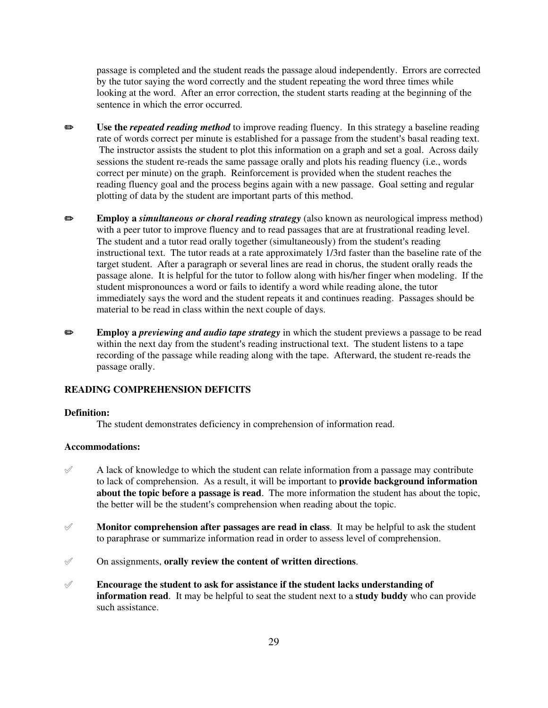passage is completed and the student reads the passage aloud independently. Errors are corrected by the tutor saying the word correctly and the student repeating the word three times while looking at the word. After an error correction, the student starts reading at the beginning of the sentence in which the error occurred.

- P **Use the** *repeated reading method* to improve reading fluency. In this strategy a baseline reading rate of words correct per minute is established for a passage from the student's basal reading text. The instructor assists the student to plot this information on a graph and set a goal. Across daily sessions the student re-reads the same passage orally and plots his reading fluency (i.e., words correct per minute) on the graph. Reinforcement is provided when the student reaches the reading fluency goal and the process begins again with a new passage. Goal setting and regular plotting of data by the student are important parts of this method.
- **Employ a** *simultaneous or choral reading strategy* (also known as neurological impress method) with a peer tutor to improve fluency and to read passages that are at frustrational reading level. The student and a tutor read orally together (simultaneously) from the student's reading instructional text. The tutor reads at a rate approximately 1/3rd faster than the baseline rate of the target student. After a paragraph or several lines are read in chorus, the student orally reads the passage alone. It is helpful for the tutor to follow along with his/her finger when modeling. If the student mispronounces a word or fails to identify a word while reading alone, the tutor immediately says the word and the student repeats it and continues reading. Passages should be material to be read in class within the next couple of days.
- **Employ a** *previewing and audio tape strategy* in which the student previews a passage to be read within the next day from the student's reading instructional text. The student listens to a tape recording of the passage while reading along with the tape. Afterward, the student re-reads the passage orally.

# **READING COMPREHENSION DEFICITS**

#### **Definition:**

The student demonstrates deficiency in comprehension of information read.

#### **Accommodations:**

- $\mathscr A$  A lack of knowledge to which the student can relate information from a passage may contribute to lack of comprehension. As a result, it will be important to **provide background information about the topic before a passage is read**. The more information the student has about the topic, the better will be the student's comprehension when reading about the topic.
- $\mathscr Y$  **Monitor comprehension after passages are read in class**. It may be helpful to ask the student to paraphrase or summarize information read in order to assess level of comprehension.
- ° On assignments, **orally review the content of written directions**.
- ° **Encourage the student to ask for assistance if the student lacks understanding of information read**. It may be helpful to seat the student next to a **study buddy** who can provide such assistance.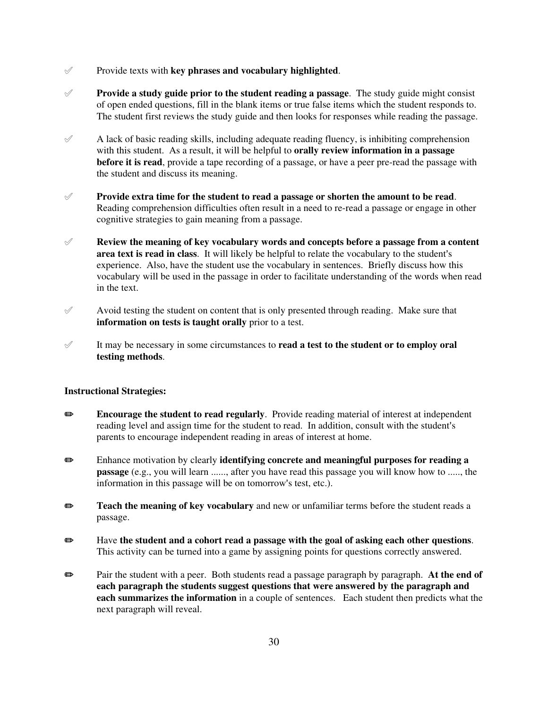- $\mathscr Y$  Provide texts with **key phrases and vocabulary highlighted**.
- ° **Provide a study guide prior to the student reading a passage**. The study guide might consist of open ended questions, fill in the blank items or true false items which the student responds to. The student first reviews the study guide and then looks for responses while reading the passage.
- $\mathscr A$  A lack of basic reading skills, including adequate reading fluency, is inhibiting comprehension with this student. As a result, it will be helpful to **orally review information in a passage before it is read**, provide a tape recording of a passage, or have a peer pre-read the passage with the student and discuss its meaning.
- ° **Provide extra time for the student to read a passage or shorten the amount to be read**. Reading comprehension difficulties often result in a need to re-read a passage or engage in other cognitive strategies to gain meaning from a passage.
- ° **Review the meaning of key vocabulary words and concepts before a passage from a content area text is read in class**. It will likely be helpful to relate the vocabulary to the student's experience. Also, have the student use the vocabulary in sentences. Briefly discuss how this vocabulary will be used in the passage in order to facilitate understanding of the words when read in the text.
- $\mathscr X$  Avoid testing the student on content that is only presented through reading. Make sure that **information on tests is taught orally** prior to a test.
- ° It may be necessary in some circumstances to **read a test to the student or to employ oral testing methods**.

- **Example 3** Encourage the student to read regularly. Provide reading material of interest at independent reading level and assign time for the student to read. In addition, consult with the student's parents to encourage independent reading in areas of interest at home.
- P Enhance motivation by clearly **identifying concrete and meaningful purposes for reading a passage** (e.g., you will learn ......, after you have read this passage you will know how to ....., the information in this passage will be on tomorrow's test, etc.).
- **P** Teach the meaning of key vocabulary and new or unfamiliar terms before the student reads a passage.
- P Have **the student and a cohort read a passage with the goal of asking each other questions**. This activity can be turned into a game by assigning points for questions correctly answered.
- **Example 3** Pair the student with a peer. Both students read a passage paragraph by paragraph. At the end of **each paragraph the students suggest questions that were answered by the paragraph and each summarizes the information** in a couple of sentences. Each student then predicts what the next paragraph will reveal.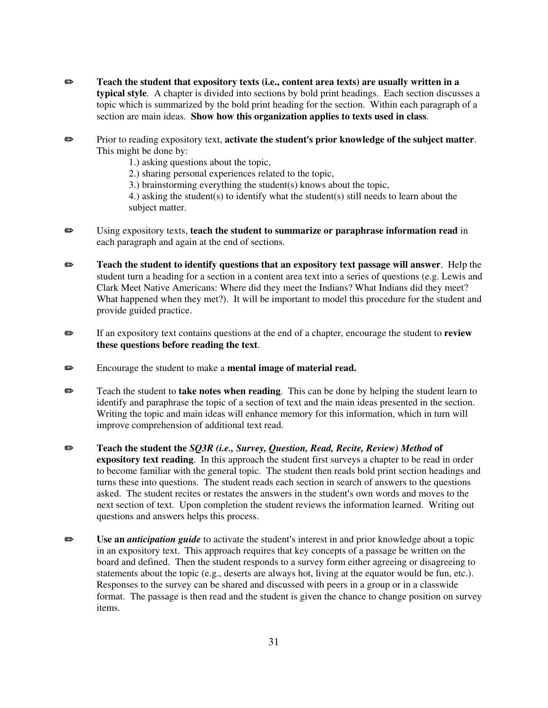- P **Teach the student that expository texts (i.e., content area texts) are usually written in a typical style**. A chapter is divided into sections by bold print headings. Each section discusses a topic which is summarized by the bold print heading for the section. Within each paragraph of a section are main ideas. **Show how this organization applies to texts used in class**.
- **P** Prior to reading expository text, **activate the student's prior knowledge of the subject matter.** This might be done by:
	- 1.) asking questions about the topic,
	- 2.) sharing personal experiences related to the topic,
	- 3.) brainstorming everything the student(s) knows about the topic,

4.) asking the student(s) to identify what the student(s) still needs to learn about the subject matter.

- P Using expository texts, **teach the student to summarize or paraphrase information read** in each paragraph and again at the end of sections.
- **Example 3** Teach the student to identify questions that an expository text passage will answer. Help the student turn a heading for a section in a content area text into a series of questions (e.g. Lewis and Clark Meet Native Americans: Where did they meet the Indians? What Indians did they meet? What happened when they met?). It will be important to model this procedure for the student and provide guided practice.
- **P** If an expository text contains questions at the end of a chapter, encourage the student to **review these questions before reading the text**.
- **Encourage the student to make a mental image of material read.**
- **P** Teach the student to **take notes when reading**. This can be done by helping the student learn to identify and paraphrase the topic of a section of text and the main ideas presented in the section. Writing the topic and main ideas will enhance memory for this information, which in turn will improve comprehension of additional text read.
- P **Teach the student the** *SQ3R (i.e., Survey, Question, Read, Recite, Review) Method* **of expository text reading**. In this approach the student first surveys a chapter to be read in order to become familiar with the general topic. The student then reads bold print section headings and turns these into questions. The student reads each section in search of answers to the questions asked. The student recites or restates the answers in the student's own words and moves to the next section of text. Upon completion the student reviews the information learned. Writing out questions and answers helps this process.
- **■** Use an *anticipation guide* to activate the student's interest in and prior knowledge about a topic in an expository text. This approach requires that key concepts of a passage be written on the board and defined. Then the student responds to a survey form either agreeing or disagreeing to statements about the topic (e.g., deserts are always hot, living at the equator would be fun, etc.). Responses to the survey can be shared and discussed with peers in a group or in a classwide format. The passage is then read and the student is given the chance to change position on survey items.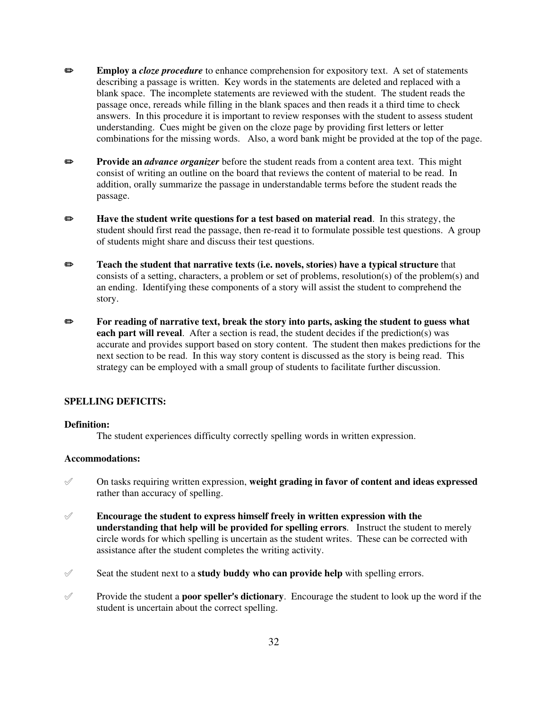- **Employ a** *cloze procedure* to enhance comprehension for expository text. A set of statements describing a passage is written. Key words in the statements are deleted and replaced with a blank space. The incomplete statements are reviewed with the student. The student reads the passage once, rereads while filling in the blank spaces and then reads it a third time to check answers. In this procedure it is important to review responses with the student to assess student understanding. Cues might be given on the cloze page by providing first letters or letter combinations for the missing words. Also, a word bank might be provided at the top of the page.
- **Provide an** *advance organizer* before the student reads from a content area text. This might consist of writing an outline on the board that reviews the content of material to be read. In addition, orally summarize the passage in understandable terms before the student reads the passage.
- **EXECUTE:** Have the student write questions for a test based on material read. In this strategy, the student should first read the passage, then re-read it to formulate possible test questions. A group of students might share and discuss their test questions.
- **Teach the student that narrative texts (i.e. novels, stories) have a typical structure** that consists of a setting, characters, a problem or set of problems, resolution(s) of the problem(s) and an ending. Identifying these components of a story will assist the student to comprehend the story.
- **Example 3** For reading of narrative text, break the story into parts, asking the student to guess what **each part will reveal**. After a section is read, the student decides if the prediction(s) was accurate and provides support based on story content. The student then makes predictions for the next section to be read. In this way story content is discussed as the story is being read. This strategy can be employed with a small group of students to facilitate further discussion.

#### **SPELLING DEFICITS:**

## **Definition:**

The student experiences difficulty correctly spelling words in written expression.

## **Accommodations:**

- ° On tasks requiring written expression, **weight grading in favor of content and ideas expressed** rather than accuracy of spelling.
- ° **Encourage the student to express himself freely in written expression with the understanding that help will be provided for spelling errors**. Instruct the student to merely circle words for which spelling is uncertain as the student writes. These can be corrected with assistance after the student completes the writing activity.
- $\mathscr S$  Seat the student next to a **study buddy who can provide help** with spelling errors.
- $\mathscr Y$  Provide the student a **poor speller's dictionary**. Encourage the student to look up the word if the student is uncertain about the correct spelling.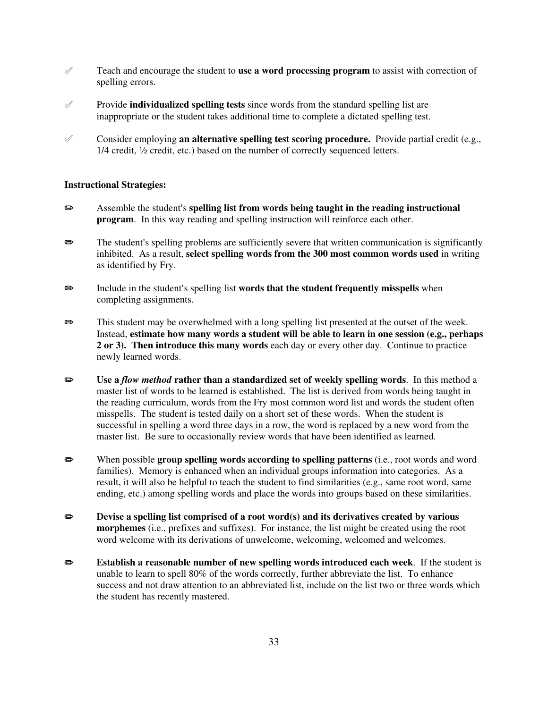- $\mathscr I$  Teach and encourage the student to **use a word processing program** to assist with correction of spelling errors.
- ° Provide **individualized spelling tests** since words from the standard spelling list are inappropriate or the student takes additional time to complete a dictated spelling test.
- Consider employing **an alternative spelling test scoring procedure.** Provide partial credit (e.g.,  $1/4$  credit,  $\frac{1}{2}$  credit, etc.) based on the number of correctly sequenced letters.

- **EXECUTE:** Assemble the student's **spelling list from words being taught in the reading instructional program**. In this way reading and spelling instruction will reinforce each other.
- $\bullet$  The student's spelling problems are sufficiently severe that written communication is significantly inhibited. As a result, **select spelling words from the 300 most common words used** in writing as identified by Fry.
- **P** Include in the student's spelling list **words that the student frequently misspells** when completing assignments.
- $\bullet$  This student may be overwhelmed with a long spelling list presented at the outset of the week. Instead, **estimate how many words a student will be able to learn in one session (e.g., perhaps 2 or 3). Then introduce this many words** each day or every other day. Continue to practice newly learned words.
- P **Use a** *flow method* **rather than a standardized set of weekly spelling words**. In this method a master list of words to be learned is established. The list is derived from words being taught in the reading curriculum, words from the Fry most common word list and words the student often misspells. The student is tested daily on a short set of these words. When the student is successful in spelling a word three days in a row, the word is replaced by a new word from the master list. Be sure to occasionally review words that have been identified as learned.
- P When possible **group spelling words according to spelling patterns** (i.e., root words and word families). Memory is enhanced when an individual groups information into categories. As a result, it will also be helpful to teach the student to find similarities (e.g., same root word, same ending, etc.) among spelling words and place the words into groups based on these similarities.
- **EXECUTE:** Devise a spelling list comprised of a root word(s) and its derivatives created by various **morphemes** (i.e., prefixes and suffixes). For instance, the list might be created using the root word welcome with its derivations of unwelcome, welcoming, welcomed and welcomes.
- P **Establish a reasonable number of new spelling words introduced each week**. If the student is unable to learn to spell 80% of the words correctly, further abbreviate the list. To enhance success and not draw attention to an abbreviated list, include on the list two or three words which the student has recently mastered.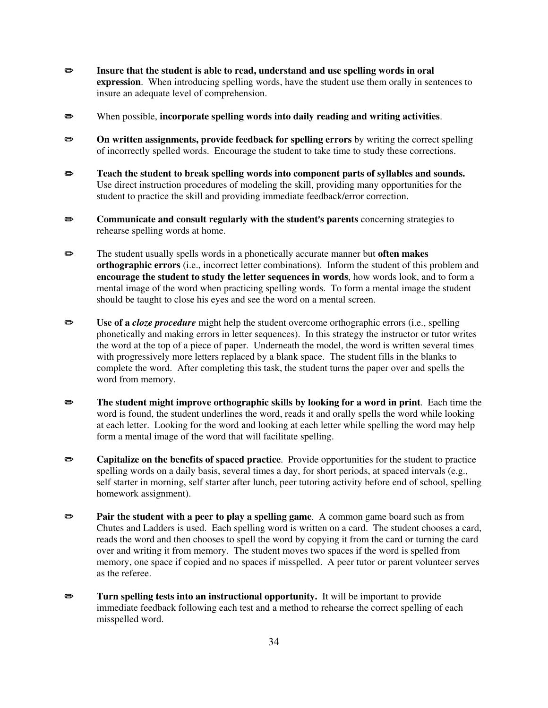- **EXECUTE:** Insure that the student is able to read, understand and use spelling words in oral **expression**. When introducing spelling words, have the student use them orally in sentences to insure an adequate level of comprehension.
- P When possible, **incorporate spelling words into daily reading and writing activities**.
- **On written assignments, provide feedback for spelling errors** by writing the correct spelling of incorrectly spelled words. Encourage the student to take time to study these corrections.
- $\bullet$  Teach the student to break spelling words into component parts of syllables and sounds. Use direct instruction procedures of modeling the skill, providing many opportunities for the student to practice the skill and providing immediate feedback/error correction.
- **••** Communicate and consult regularly with the student's parents concerning strategies to rehearse spelling words at home.
- **Example 3** The student usually spells words in a phonetically accurate manner but **often makes orthographic errors** (i.e., incorrect letter combinations). Inform the student of this problem and **encourage the student to study the letter sequences in words**, how words look, and to form a mental image of the word when practicing spelling words. To form a mental image the student should be taught to close his eyes and see the word on a mental screen.
- P **Use of a** *cloze procedure* might help the student overcome orthographic errors (i.e., spelling phonetically and making errors in letter sequences). In this strategy the instructor or tutor writes the word at the top of a piece of paper. Underneath the model, the word is written several times with progressively more letters replaced by a blank space. The student fills in the blanks to complete the word. After completing this task, the student turns the paper over and spells the word from memory.
- **EXECUTE:** The student might improve orthographic skills by looking for a word in print. Each time the word is found, the student underlines the word, reads it and orally spells the word while looking at each letter. Looking for the word and looking at each letter while spelling the word may help form a mental image of the word that will facilitate spelling.
- **Capitalize on the benefits of spaced practice**. Provide opportunities for the student to practice spelling words on a daily basis, several times a day, for short periods, at spaced intervals (e.g., self starter in morning, self starter after lunch, peer tutoring activity before end of school, spelling homework assignment).
- **Pair the student with a peer to play a spelling game**. A common game board such as from Chutes and Ladders is used. Each spelling word is written on a card. The student chooses a card, reads the word and then chooses to spell the word by copying it from the card or turning the card over and writing it from memory. The student moves two spaces if the word is spelled from memory, one space if copied and no spaces if misspelled. A peer tutor or parent volunteer serves as the referee.
- **EXECUTE:** Turn spelling tests into an instructional opportunity. It will be important to provide immediate feedback following each test and a method to rehearse the correct spelling of each misspelled word.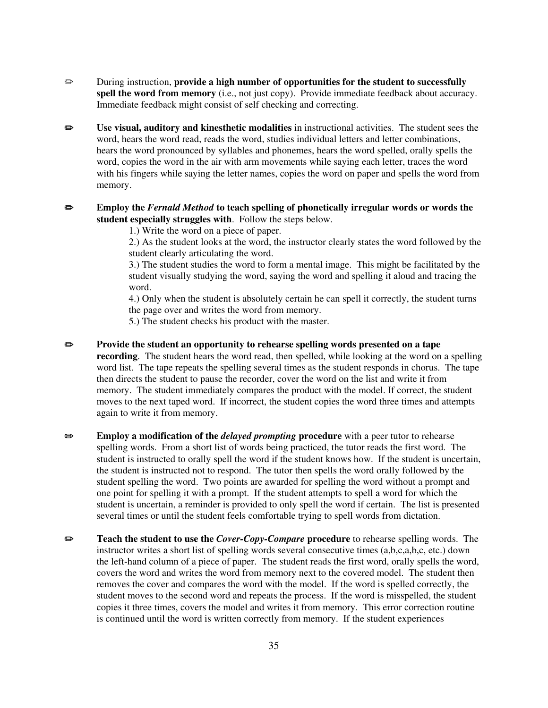- **P** During instruction, **provide a high number of opportunities for the student to successfully** spell the word from memory (i.e., not just copy). Provide immediate feedback about accuracy. Immediate feedback might consist of self checking and correcting.
- **Use visual, auditory and kinesthetic modalities** in instructional activities. The student sees the word, hears the word read, reads the word, studies individual letters and letter combinations, hears the word pronounced by syllables and phonemes, hears the word spelled, orally spells the word, copies the word in the air with arm movements while saying each letter, traces the word with his fingers while saying the letter names, copies the word on paper and spells the word from memory.
- **Employ the** *Fernald Method* **to teach spelling of phonetically irregular words or words the student especially struggles with**. Follow the steps below.
	- 1.) Write the word on a piece of paper.

2.) As the student looks at the word, the instructor clearly states the word followed by the student clearly articulating the word.

3.) The student studies the word to form a mental image. This might be facilitated by the student visually studying the word, saying the word and spelling it aloud and tracing the word.

4.) Only when the student is absolutely certain he can spell it correctly, the student turns the page over and writes the word from memory.

5.) The student checks his product with the master.

- **Provide the student an opportunity to rehearse spelling words presented on a tape recording**. The student hears the word read, then spelled, while looking at the word on a spelling word list. The tape repeats the spelling several times as the student responds in chorus. The tape then directs the student to pause the recorder, cover the word on the list and write it from memory. The student immediately compares the product with the model. If correct, the student moves to the next taped word. If incorrect, the student copies the word three times and attempts again to write it from memory.
- **Employ a modification of the** *delayed prompting* **procedure** with a peer tutor to rehearse spelling words. From a short list of words being practiced, the tutor reads the first word. The student is instructed to orally spell the word if the student knows how. If the student is uncertain, the student is instructed not to respond. The tutor then spells the word orally followed by the student spelling the word. Two points are awarded for spelling the word without a prompt and one point for spelling it with a prompt. If the student attempts to spell a word for which the student is uncertain, a reminder is provided to only spell the word if certain. The list is presented several times or until the student feels comfortable trying to spell words from dictation.
- **EXECUTE:** Teach the student to use the *Cover-Copy-Compare* procedure to rehearse spelling words. The instructor writes a short list of spelling words several consecutive times (a,b,c,a,b,c, etc.) down the left-hand column of a piece of paper. The student reads the first word, orally spells the word, covers the word and writes the word from memory next to the covered model. The student then removes the cover and compares the word with the model. If the word is spelled correctly, the student moves to the second word and repeats the process. If the word is misspelled, the student copies it three times, covers the model and writes it from memory. This error correction routine is continued until the word is written correctly from memory. If the student experiences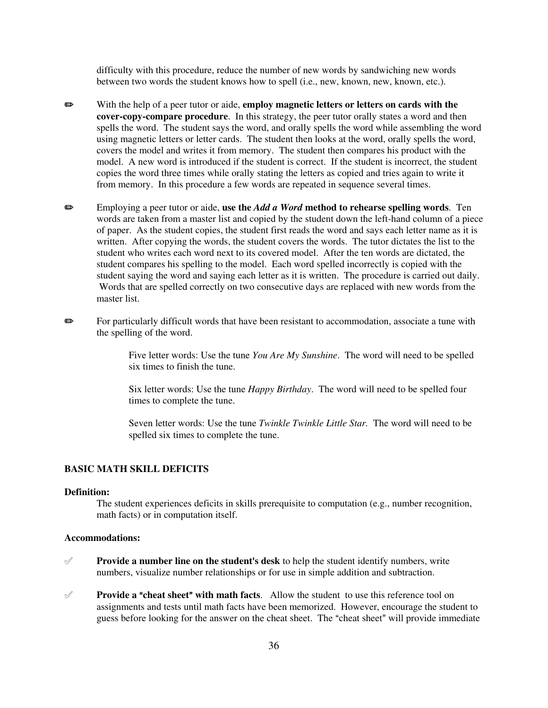difficulty with this procedure, reduce the number of new words by sandwiching new words between two words the student knows how to spell (i.e., new, known, new, known, etc.).

- **EXECUTE:** With the help of a peer tutor or aide, **employ magnetic letters or letters on cards with the cover-copy-compare procedure**. In this strategy, the peer tutor orally states a word and then spells the word. The student says the word, and orally spells the word while assembling the word using magnetic letters or letter cards. The student then looks at the word, orally spells the word, covers the model and writes it from memory. The student then compares his product with the model. A new word is introduced if the student is correct. If the student is incorrect, the student copies the word three times while orally stating the letters as copied and tries again to write it from memory. In this procedure a few words are repeated in sequence several times.
- P Employing a peer tutor or aide, **use the** *Add a Word* **method to rehearse spelling words**. Ten words are taken from a master list and copied by the student down the left-hand column of a piece of paper. As the student copies, the student first reads the word and says each letter name as it is written. After copying the words, the student covers the words. The tutor dictates the list to the student who writes each word next to its covered model. After the ten words are dictated, the student compares his spelling to the model. Each word spelled incorrectly is copied with the student saying the word and saying each letter as it is written. The procedure is carried out daily. Words that are spelled correctly on two consecutive days are replaced with new words from the master list.
- **P** For particularly difficult words that have been resistant to accommodation, associate a tune with the spelling of the word.

Five letter words: Use the tune *You Are My Sunshine*. The word will need to be spelled six times to finish the tune.

Six letter words: Use the tune *Happy Birthday*. The word will need to be spelled four times to complete the tune.

Seven letter words: Use the tune *Twinkle Twinkle Little Star.* The word will need to be spelled six times to complete the tune.

#### **BASIC MATH SKILL DEFICITS**

## **Definition:**

The student experiences deficits in skills prerequisite to computation (e.g., number recognition, math facts) or in computation itself.

#### **Accommodations:**

- **Provide a number line on the student's desk** to help the student identify numbers, write numbers, visualize number relationships or for use in simple addition and subtraction.
- $\mathscr A$  **Provide a "cheat sheet" with math facts**. Allow the student to use this reference tool on assignments and tests until math facts have been memorized. However, encourage the student to guess before looking for the answer on the cheat sheet. The "cheat sheet" will provide immediate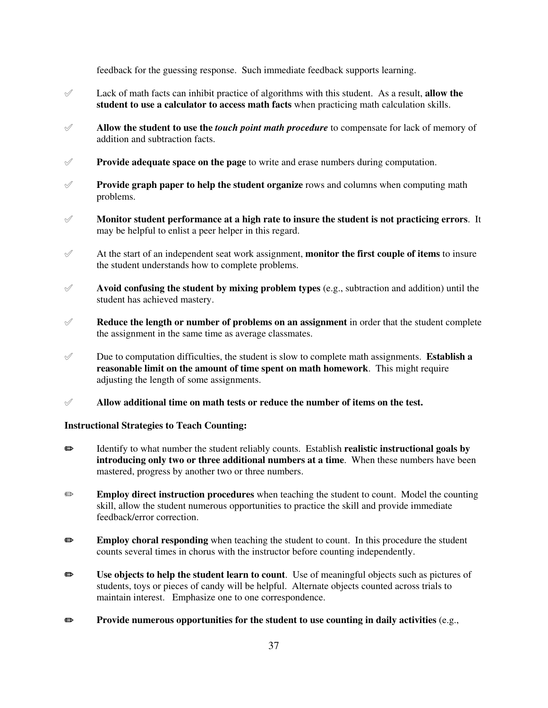feedback for the guessing response. Such immediate feedback supports learning.

- ° Lack of math facts can inhibit practice of algorithms with this student. As a result, **allow the student to use a calculator to access math facts** when practicing math calculation skills.
- ° **Allow the student to use the** *touch point math procedure* to compensate for lack of memory of addition and subtraction facts.
- ° **Provide adequate space on the page** to write and erase numbers during computation.
- ° **Provide graph paper to help the student organize** rows and columns when computing math problems.
- ° **Monitor student performance at a high rate to insure the student is not practicing errors**. It may be helpful to enlist a peer helper in this regard.
- $\mathscr A$  At the start of an independent seat work assignment, **monitor the first couple of items** to insure the student understands how to complete problems.
- $\mathscr A$  **Avoid confusing the student by mixing problem types** (e.g., subtraction and addition) until the student has achieved mastery.
- $\mathscr A$  **Reduce the length or number of problems on an assignment** in order that the student complete the assignment in the same time as average classmates.
- $\mathscr V$  Due to computation difficulties, the student is slow to complete math assignments. **Establish a reasonable limit on the amount of time spent on math homework**. This might require adjusting the length of some assignments.
- ° **Allow additional time on math tests or reduce the number of items on the test.**

# **Instructional Strategies to Teach Counting:**

- **EXECUTE:** Identify to what number the student reliably counts. Establish **realistic instructional goals by introducing only two or three additional numbers at a time**. When these numbers have been mastered, progress by another two or three numbers.
- **Employ direct instruction procedures** when teaching the student to count. Model the counting skill, allow the student numerous opportunities to practice the skill and provide immediate feedback/error correction.
- **Employ choral responding** when teaching the student to count. In this procedure the student counts several times in chorus with the instructor before counting independently.
- P **Use objects to help the student learn to count**. Use of meaningful objects such as pictures of students, toys or pieces of candy will be helpful. Alternate objects counted across trials to maintain interest. Emphasize one to one correspondence.
- **EXECUTE:** Provide numerous opportunities for the student to use counting in daily activities (e.g.,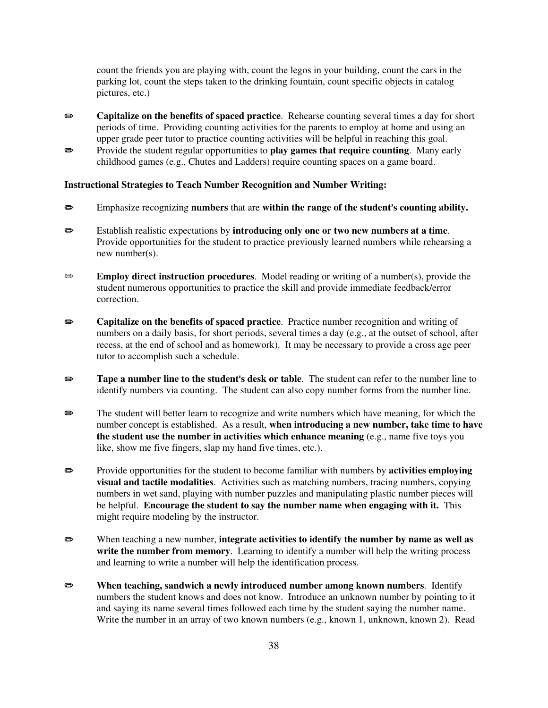count the friends you are playing with, count the legos in your building, count the cars in the parking lot, count the steps taken to the drinking fountain, count specific objects in catalog pictures, etc.)

- **Example 3 Capitalize on the benefits of spaced practice**. Rehearse counting several times a day for short periods of time. Providing counting activities for the parents to employ at home and using an upper grade peer tutor to practice counting activities will be helpful in reaching this goal.
- **Example 1** Provide the student regular opportunities to **play games that require counting**. Many early childhood games (e.g., Chutes and Ladders) require counting spaces on a game board.

#### **Instructional Strategies to Teach Number Recognition and Number Writing:**

- **E**mphasize recognizing **numbers** that are **within the range of the student's counting ability.**
- P Establish realistic expectations by **introducing only one or two new numbers at a time**. Provide opportunities for the student to practice previously learned numbers while rehearsing a new number(s).
- **Employ direct instruction procedures.** Model reading or writing of a number(s), provide the student numerous opportunities to practice the skill and provide immediate feedback/error correction.
- **Example 3 Capitalize on the benefits of spaced practice**. Practice number recognition and writing of numbers on a daily basis, for short periods, several times a day (e.g., at the outset of school, after recess, at the end of school and as homework). It may be necessary to provide a cross age peer tutor to accomplish such a schedule.
- **Example 2 Tape a number line to the student's desk or table**. The student can refer to the number line to identify numbers via counting. The student can also copy number forms from the number line.
- The student will better learn to recognize and write numbers which have meaning, for which the number concept is established. As a result, **when introducing a new number, take time to have the student use the number in activities which enhance meaning** (e.g., name five toys you like, show me five fingers, slap my hand five times, etc.).
- **EXECUTE:** Provide opportunities for the student to become familiar with numbers by **activities employing visual and tactile modalities**. Activities such as matching numbers, tracing numbers, copying numbers in wet sand, playing with number puzzles and manipulating plastic number pieces will be helpful. **Encourage the student to say the number name when engaging with it.** This might require modeling by the instructor.
- **EXECUTE:** When teaching a new number, **integrate activities to identify the number by name as well as** write the number from memory. Learning to identify a number will help the writing process and learning to write a number will help the identification process.
- **EXECUTE:** When teaching, sandwich a newly introduced number among known numbers. Identify numbers the student knows and does not know. Introduce an unknown number by pointing to it and saying its name several times followed each time by the student saying the number name. Write the number in an array of two known numbers (e.g., known 1, unknown, known 2). Read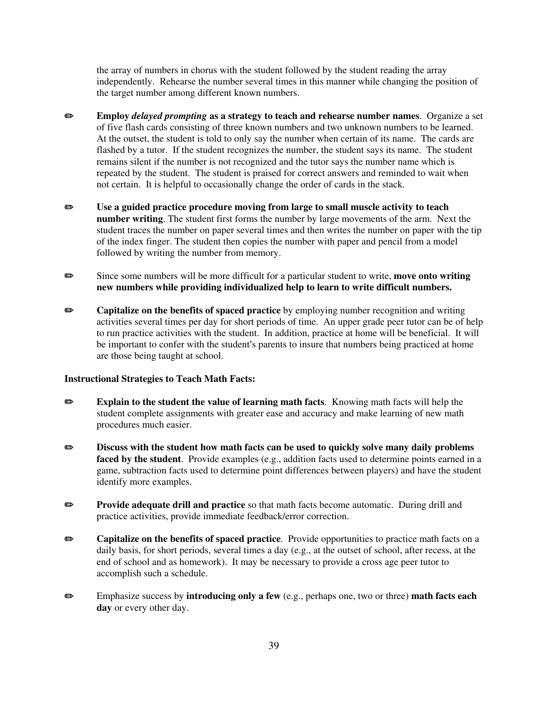the array of numbers in chorus with the student followed by the student reading the array independently. Rehearse the number several times in this manner while changing the position of the target number among different known numbers.

- P **Employ** *delayed prompting* **as a strategy to teach and rehearse number names**. Organize a set of five flash cards consisting of three known numbers and two unknown numbers to be learned. At the outset, the student is told to only say the number when certain of its name. The cards are flashed by a tutor. If the student recognizes the number, the student says its name. The student remains silent if the number is not recognized and the tutor says the number name which is repeated by the student. The student is praised for correct answers and reminded to wait when not certain. It is helpful to occasionally change the order of cards in the stack.
- P **Use a guided practice procedure moving from large to small muscle activity to teach number writing**. The student first forms the number by large movements of the arm. Next the student traces the number on paper several times and then writes the number on paper with the tip of the index finger. The student then copies the number with paper and pencil from a model followed by writing the number from memory.
- **■** Since some numbers will be more difficult for a particular student to write, **move onto writing new numbers while providing individualized help to learn to write difficult numbers.**
- **Exercise Separate Sepaced practice** by employing number recognition and writing activities several times per day for short periods of time. An upper grade peer tutor can be of help to run practice activities with the student. In addition, practice at home will be beneficial. It will be important to confer with the student's parents to insure that numbers being practiced at home are those being taught at school.

## **Instructional Strategies to Teach Math Facts:**

- **Explain to the student the value of learning math facts**. Knowing math facts will help the student complete assignments with greater ease and accuracy and make learning of new math procedures much easier.
- $\bullet$  Discuss with the student how math facts can be used to quickly solve many daily problems **faced by the student**. Provide examples (e.g., addition facts used to determine points earned in a game, subtraction facts used to determine point differences between players) and have the student identify more examples.
- **Provide adequate drill and practice** so that math facts become automatic. During drill and practice activities, provide immediate feedback/error correction.
- **Exercise Separt Capitalize on the benefits of spaced practice**. Provide opportunities to practice math facts on a daily basis, for short periods, several times a day (e.g., at the outset of school, after recess, at the end of school and as homework). It may be necessary to provide a cross age peer tutor to accomplish such a schedule.
- P Emphasize success by **introducing only a few** (e.g., perhaps one, two or three) **math facts each day** or every other day.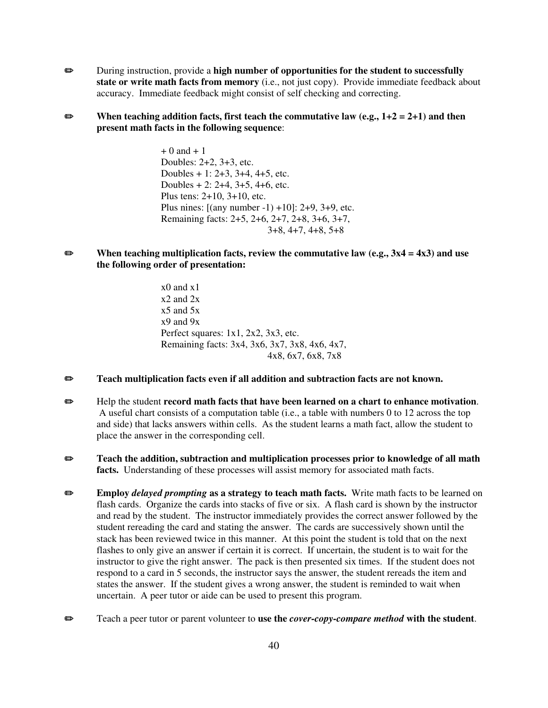- **Example 3** During instruction, provide a **high number of opportunities for the student to successfully state or write math facts from memory** (i.e., not just copy). Provide immediate feedback about accuracy. Immediate feedback might consist of self checking and correcting.
- $\bullet$  When teaching addition facts, first teach the commutative law (e.g.,  $1+2 = 2+1$ ) and then **present math facts in the following sequence**:

 $+ 0$  and  $+ 1$ Doubles: 2+2, 3+3, etc. Doubles + 1: 2+3, 3+4, 4+5, etc. Doubles + 2: 2+4, 3+5, 4+6, etc. Plus tens: 2+10, 3+10, etc. Plus nines:  $[(any number -1) +10]$ : 2+9, 3+9, etc. Remaining facts: 2+5, 2+6, 2+7, 2+8, 3+6, 3+7, 3+8, 4+7, 4+8, 5+8

P **When teaching multiplication facts, review the commutative law (e.g., 3x4 = 4x3) and use the following order of presentation:**

> x0 and x1 x2 and 2x  $x5$  and  $5x$ x9 and 9x Perfect squares: 1x1, 2x2, 3x3, etc. Remaining facts: 3x4, 3x6, 3x7, 3x8, 4x6, 4x7, 4x8, 6x7, 6x8, 7x8

- **P** Teach multiplication facts even if all addition and subtraction facts are not known.
- **Example 1** Help the student **record math facts that have been learned on a chart to enhance motivation.**  A useful chart consists of a computation table (i.e., a table with numbers 0 to 12 across the top and side) that lacks answers within cells. As the student learns a math fact, allow the student to place the answer in the corresponding cell.
- **EXECUTE:** Teach the addition, subtraction and multiplication processes prior to knowledge of all math **facts.** Understanding of these processes will assist memory for associated math facts.
- **Employ** *delayed prompting* as a strategy to teach math facts. Write math facts to be learned on flash cards. Organize the cards into stacks of five or six. A flash card is shown by the instructor and read by the student. The instructor immediately provides the correct answer followed by the student rereading the card and stating the answer. The cards are successively shown until the stack has been reviewed twice in this manner. At this point the student is told that on the next flashes to only give an answer if certain it is correct. If uncertain, the student is to wait for the instructor to give the right answer. The pack is then presented six times. If the student does not respond to a card in 5 seconds, the instructor says the answer, the student rereads the item and states the answer. If the student gives a wrong answer, the student is reminded to wait when uncertain. A peer tutor or aide can be used to present this program.
- P Teach a peer tutor or parent volunteer to **use the** *cover-copy-compare method* **with the student**.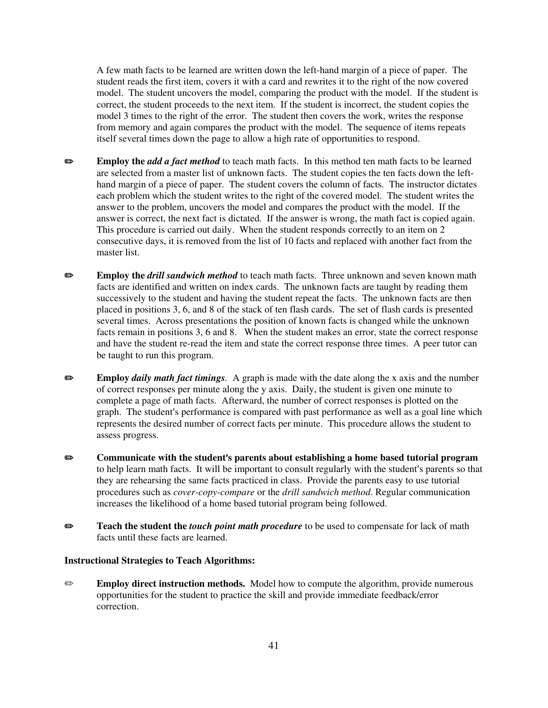A few math facts to be learned are written down the left-hand margin of a piece of paper. The student reads the first item, covers it with a card and rewrites it to the right of the now covered model. The student uncovers the model, comparing the product with the model. If the student is correct, the student proceeds to the next item. If the student is incorrect, the student copies the model 3 times to the right of the error. The student then covers the work, writes the response from memory and again compares the product with the model. The sequence of items repeats itself several times down the page to allow a high rate of opportunities to respond.

- **Employ the** *add a fact method* to teach math facts. In this method ten math facts to be learned are selected from a master list of unknown facts. The student copies the ten facts down the lefthand margin of a piece of paper. The student covers the column of facts. The instructor dictates each problem which the student writes to the right of the covered model. The student writes the answer to the problem, uncovers the model and compares the product with the model. If the answer is correct, the next fact is dictated. If the answer is wrong, the math fact is copied again. This procedure is carried out daily. When the student responds correctly to an item on 2 consecutive days, it is removed from the list of 10 facts and replaced with another fact from the master list.
- **Employ the** *drill sandwich method* to teach math facts. Three unknown and seven known math facts are identified and written on index cards. The unknown facts are taught by reading them successively to the student and having the student repeat the facts. The unknown facts are then placed in positions 3, 6, and 8 of the stack of ten flash cards. The set of flash cards is presented several times. Across presentations the position of known facts is changed while the unknown facts remain in positions 3, 6 and 8. When the student makes an error, state the correct response and have the student re-read the item and state the correct response three times. A peer tutor can be taught to run this program.
- P **Employ** *daily math fact timings.* A graph is made with the date along the x axis and the number of correct responses per minute along the y axis. Daily, the student is given one minute to complete a page of math facts. Afterward, the number of correct responses is plotted on the graph. The student's performance is compared with past performance as well as a goal line which represents the desired number of correct facts per minute. This procedure allows the student to assess progress.
- **■** Communicate with the student's parents about establishing a home based tutorial program to help learn math facts. It will be important to consult regularly with the student's parents so that they are rehearsing the same facts practiced in class. Provide the parents easy to use tutorial procedures such as *cover-copy-compare* or the *drill sandwich method*. Regular communication increases the likelihood of a home based tutorial program being followed.
- **Example 3 Teach the student the** *touch point math procedure* to be used to compensate for lack of math facts until these facts are learned.

#### **Instructional Strategies to Teach Algorithms:**

**Employ direct instruction methods.** Model how to compute the algorithm, provide numerous opportunities for the student to practice the skill and provide immediate feedback/error correction.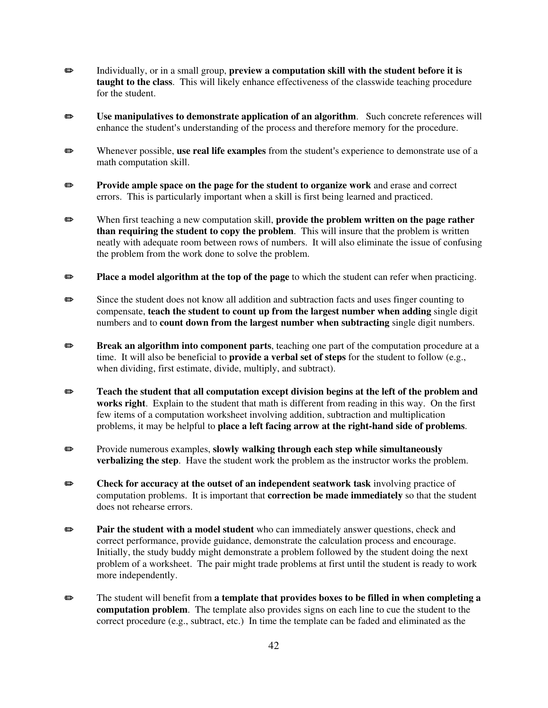- Individually, or in a small group, **preview a computation skill with the student before it is taught to the class**. This will likely enhance effectiveness of the classwide teaching procedure for the student.
- $\bullet$  Use manipulatives to demonstrate application of an algorithm. Such concrete references will enhance the student's understanding of the process and therefore memory for the procedure.
- **Examples** Whenever possible, **use real life examples** from the student's experience to demonstrate use of a math computation skill.
- **Provide ample space on the page for the student to organize work** and erase and correct errors. This is particularly important when a skill is first being learned and practiced.
- **EXECUTE:** When first teaching a new computation skill, **provide the problem written on the page rather than requiring the student to copy the problem**. This will insure that the problem is written neatly with adequate room between rows of numbers. It will also eliminate the issue of confusing the problem from the work done to solve the problem.
- **Place a model algorithm at the top of the page** to which the student can refer when practicing.
- Since the student does not know all addition and subtraction facts and uses finger counting to compensate, **teach the student to count up from the largest number when adding** single digit numbers and to **count down from the largest number when subtracting** single digit numbers.
- **Break an algorithm into component parts**, teaching one part of the computation procedure at a time. It will also be beneficial to **provide a verbal set of steps** for the student to follow (e.g., when dividing, first estimate, divide, multiply, and subtract).
- **EXECUTE:** Teach the student that all computation except division begins at the left of the problem and **works right**. Explain to the student that math is different from reading in this way. On the first few items of a computation worksheet involving addition, subtraction and multiplication problems, it may be helpful to **place a left facing arrow at the right-hand side of problems**.
- **EXECUTE:** Provide numerous examples, **slowly walking through each step while simultaneously verbalizing the step**. Have the student work the problem as the instructor works the problem.
- **Check for accuracy at the outset of an independent seatwork task** involving practice of computation problems. It is important that **correction be made immediately** so that the student does not rehearse errors.
- **Pair the student with a model student** who can immediately answer questions, check and correct performance, provide guidance, demonstrate the calculation process and encourage. Initially, the study buddy might demonstrate a problem followed by the student doing the next problem of a worksheet. The pair might trade problems at first until the student is ready to work more independently.
- **EXECUTE:** The student will benefit from a template that provides boxes to be filled in when completing a **computation problem**. The template also provides signs on each line to cue the student to the correct procedure (e.g., subtract, etc.) In time the template can be faded and eliminated as the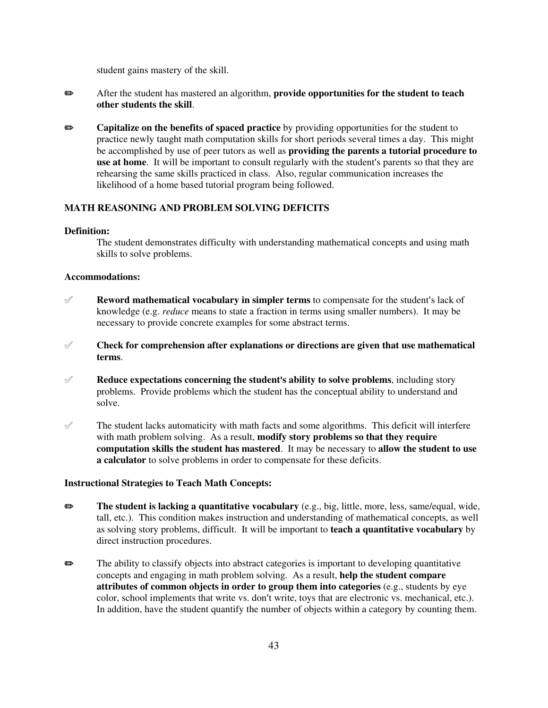student gains mastery of the skill.

- P After the student has mastered an algorithm, **provide opportunities for the student to teach other students the skill**.
- **Exercise Separate Separate Separate Separate** by providing opportunities for the student to practice newly taught math computation skills for short periods several times a day. This might be accomplished by use of peer tutors as well as **providing the parents a tutorial procedure to**  use at home. It will be important to consult regularly with the student's parents so that they are rehearsing the same skills practiced in class. Also, regular communication increases the likelihood of a home based tutorial program being followed.

# **MATH REASONING AND PROBLEM SOLVING DEFICITS**

## **Definition:**

The student demonstrates difficulty with understanding mathematical concepts and using math skills to solve problems.

#### **Accommodations:**

- $\mathscr A$  **Reword mathematical vocabulary in simpler terms** to compensate for the student's lack of knowledge (e.g. *reduce* means to state a fraction in terms using smaller numbers). It may be necessary to provide concrete examples for some abstract terms.
- ° **Check for comprehension after explanations or directions are given that use mathematical terms**.
- $\mathscr A$  **Reduce expectations concerning the student's ability to solve problems**, including story problems. Provide problems which the student has the conceptual ability to understand and solve.
- $\mathcal{P}$  The student lacks automaticity with math facts and some algorithms. This deficit will interfere with math problem solving. As a result, **modify story problems so that they require computation skills the student has mastered**. It may be necessary to **allow the student to use a calculator** to solve problems in order to compensate for these deficits.

## **Instructional Strategies to Teach Math Concepts:**

- P **The student is lacking a quantitative vocabulary** (e.g., big, little, more, less, same/equal, wide, tall, etc.). This condition makes instruction and understanding of mathematical concepts, as well as solving story problems, difficult. It will be important to **teach a quantitative vocabulary** by direct instruction procedures.
- **EXECUTE:** The ability to classify objects into abstract categories is important to developing quantitative concepts and engaging in math problem solving. As a result, **help the student compare attributes of common objects in order to group them into categories** (e.g., students by eye color, school implements that write vs. don't write, toys that are electronic vs. mechanical, etc.). In addition, have the student quantify the number of objects within a category by counting them.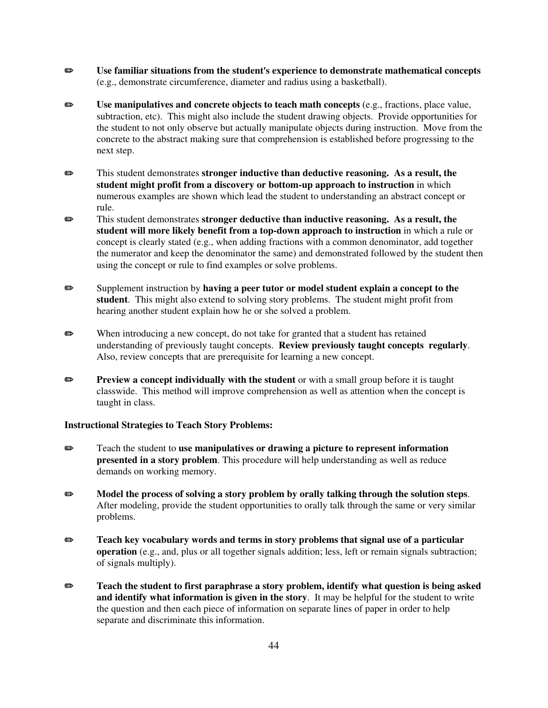- **■** Use familiar situations from the student's experience to demonstrate mathematical concepts (e.g., demonstrate circumference, diameter and radius using a basketball).
- **EXECUTE:** Use manipulatives and concrete objects to teach math concepts (e.g., fractions, place value, subtraction, etc). This might also include the student drawing objects. Provide opportunities for the student to not only observe but actually manipulate objects during instruction. Move from the concrete to the abstract making sure that comprehension is established before progressing to the next step.
- P This student demonstrates **stronger inductive than deductive reasoning. As a result, the student might profit from a discovery or bottom-up approach to instruction** in which numerous examples are shown which lead the student to understanding an abstract concept or rule.
- **EXECUTE:** This student demonstrates **stronger deductive than inductive reasoning.** As a result, the **student will more likely benefit from a top-down approach to instruction** in which a rule or concept is clearly stated (e.g., when adding fractions with a common denominator, add together the numerator and keep the denominator the same) and demonstrated followed by the student then using the concept or rule to find examples or solve problems.
- **Examplement instruction by having a peer tutor or model student explain a concept to the student**. This might also extend to solving story problems. The student might profit from hearing another student explain how he or she solved a problem.
- $\bullet$  When introducing a new concept, do not take for granted that a student has retained understanding of previously taught concepts. **Review previously taught concepts regularly**. Also, review concepts that are prerequisite for learning a new concept.
- **Preview a concept individually with the student** or with a small group before it is taught classwide. This method will improve comprehension as well as attention when the concept is taught in class.

## **Instructional Strategies to Teach Story Problems:**

- **EXECUTE:** Teach the student to **use manipulatives or drawing a picture to represent information presented in a story problem**. This procedure will help understanding as well as reduce demands on working memory.
- $\bullet$  **Model the process of solving a story problem by orally talking through the solution steps.** After modeling, provide the student opportunities to orally talk through the same or very similar problems.
- **EXECUTE:** Teach key vocabulary words and terms in story problems that signal use of a particular **operation** (e.g., and, plus or all together signals addition; less, left or remain signals subtraction; of signals multiply).
- **EXECUTE:** Teach the student to first paraphrase a story problem, identify what question is being asked **and identify what information is given in the story**. It may be helpful for the student to write the question and then each piece of information on separate lines of paper in order to help separate and discriminate this information.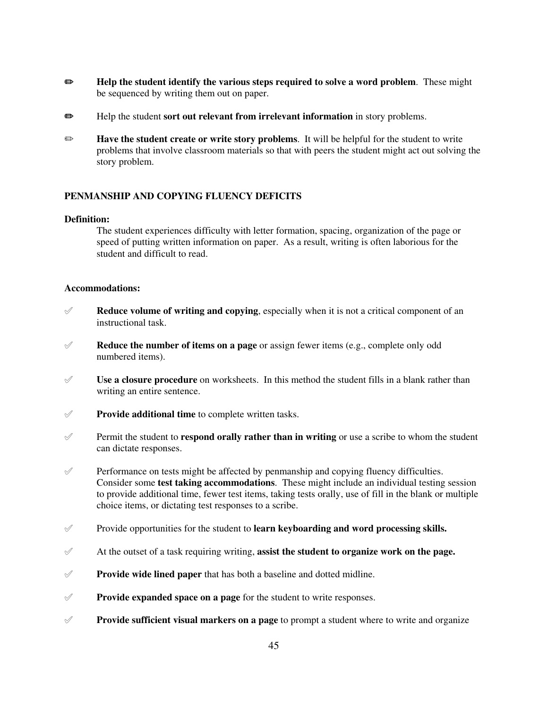- **EXECUTE:** Help the student identify the various steps required to solve a word problem. These might be sequenced by writing them out on paper.
- **Example 1** Help the student **sort out relevant from irrelevant information** in story problems.
- **Example 3 Have the student create or write story problems**. It will be helpful for the student to write problems that involve classroom materials so that with peers the student might act out solving the story problem.

# **PENMANSHIP AND COPYING FLUENCY DEFICITS**

# **Definition:**

The student experiences difficulty with letter formation, spacing, organization of the page or speed of putting written information on paper. As a result, writing is often laborious for the student and difficult to read.

## **Accommodations:**

- $\mathscr A$  **Reduce volume of writing and copying**, especially when it is not a critical component of an instructional task.
- ° **Reduce the number of items on a page** or assign fewer items (e.g., complete only odd numbered items).
- $\mathscr Y$  **Use a closure procedure** on worksheets. In this method the student fills in a blank rather than writing an entire sentence.
- ° **Provide additional time** to complete written tasks.
- $\mathscr Y$  Permit the student to **respond orally rather than in writing** or use a scribe to whom the student can dictate responses.
- $\mathcal{P}$  Performance on tests might be affected by penmanship and copying fluency difficulties. Consider some **test taking accommodations**. These might include an individual testing session to provide additional time, fewer test items, taking tests orally, use of fill in the blank or multiple choice items, or dictating test responses to a scribe.
- ° Provide opportunities for the student to **learn keyboarding and word processing skills.**
- $\mathscr A$  At the outset of a task requiring writing, **assist the student to organize work on the page.**
- $\mathscr Y$  **Provide wide lined paper** that has both a baseline and dotted midline.
- $\mathscr Y$  **Provide expanded space on a page** for the student to write responses.
- **Provide sufficient visual markers on a page** to prompt a student where to write and organize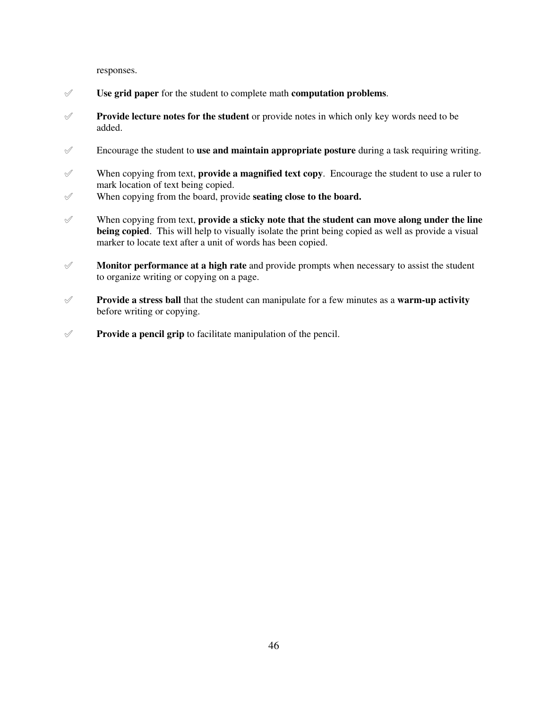responses.

- ° **Use grid paper** for the student to complete math **computation problems**.
- ° **Provide lecture notes for the student** or provide notes in which only key words need to be added.
- $\mathscr O$  Encourage the student to **use and maintain appropriate posture** during a task requiring writing.
- $\mathscr Y$  When copying from text, **provide a magnified text copy**. Encourage the student to use a ruler to mark location of text being copied.
- $\mathscr V$  When copying from the board, provide **seating close to the board.**
- ° When copying from text, **provide a sticky note that the student can move along under the line being copied**. This will help to visually isolate the print being copied as well as provide a visual marker to locate text after a unit of words has been copied.
- ° **Monitor performance at a high rate** and provide prompts when necessary to assist the student to organize writing or copying on a page.
- ° **Provide a stress ball** that the student can manipulate for a few minutes as a **warm-up activity** before writing or copying.
- $\mathscr Y$  **Provide a pencil grip** to facilitate manipulation of the pencil.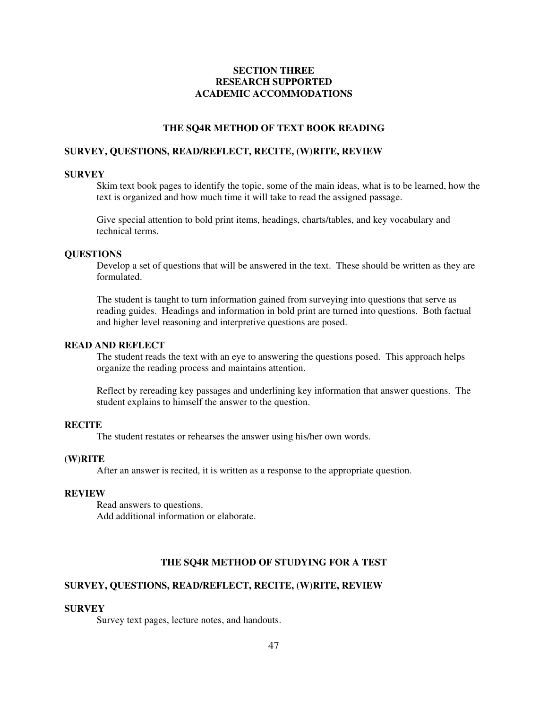# **SECTION THREE RESEARCH SUPPORTED ACADEMIC ACCOMMODATIONS**

# **THE SQ4R METHOD OF TEXT BOOK READING**

#### **SURVEY, QUESTIONS, READ/REFLECT, RECITE, (W)RITE, REVIEW**

## **SURVEY**

Skim text book pages to identify the topic, some of the main ideas, what is to be learned, how the text is organized and how much time it will take to read the assigned passage.

Give special attention to bold print items, headings, charts/tables, and key vocabulary and technical terms.

#### **QUESTIONS**

Develop a set of questions that will be answered in the text. These should be written as they are formulated.

The student is taught to turn information gained from surveying into questions that serve as reading guides. Headings and information in bold print are turned into questions. Both factual and higher level reasoning and interpretive questions are posed.

# **READ AND REFLECT**

The student reads the text with an eye to answering the questions posed. This approach helps organize the reading process and maintains attention.

Reflect by rereading key passages and underlining key information that answer questions. The student explains to himself the answer to the question.

#### **RECITE**

The student restates or rehearses the answer using his/her own words.

# **(W)RITE**

After an answer is recited, it is written as a response to the appropriate question.

#### **REVIEW**

Read answers to questions. Add additional information or elaborate.

# **THE SQ4R METHOD OF STUDYING FOR A TEST**

# **SURVEY, QUESTIONS, READ/REFLECT, RECITE, (W)RITE, REVIEW**

#### **SURVEY**

Survey text pages, lecture notes, and handouts.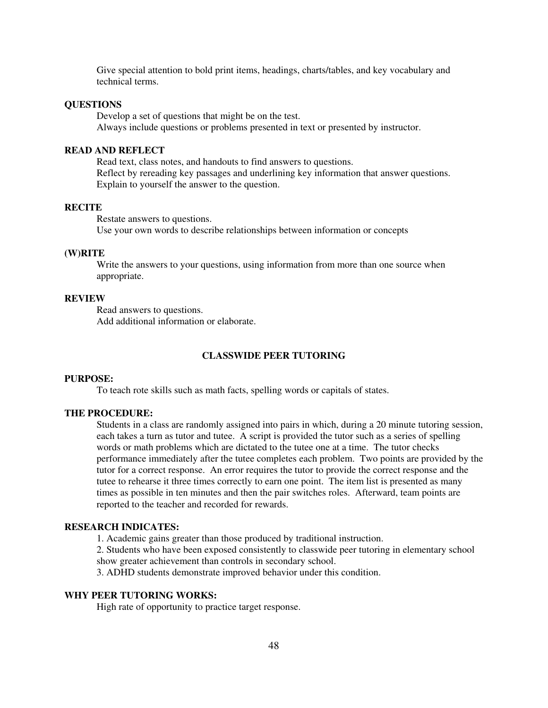Give special attention to bold print items, headings, charts/tables, and key vocabulary and technical terms.

## **QUESTIONS**

Develop a set of questions that might be on the test. Always include questions or problems presented in text or presented by instructor.

#### **READ AND REFLECT**

Read text, class notes, and handouts to find answers to questions. Reflect by rereading key passages and underlining key information that answer questions. Explain to yourself the answer to the question.

# **RECITE**

Restate answers to questions. Use your own words to describe relationships between information or concepts

#### **(W)RITE**

Write the answers to your questions, using information from more than one source when appropriate.

#### **REVIEW**

Read answers to questions. Add additional information or elaborate.

# **CLASSWIDE PEER TUTORING**

# **PURPOSE:**

To teach rote skills such as math facts, spelling words or capitals of states.

#### **THE PROCEDURE:**

Students in a class are randomly assigned into pairs in which, during a 20 minute tutoring session, each takes a turn as tutor and tutee. A script is provided the tutor such as a series of spelling words or math problems which are dictated to the tutee one at a time. The tutor checks performance immediately after the tutee completes each problem. Two points are provided by the tutor for a correct response. An error requires the tutor to provide the correct response and the tutee to rehearse it three times correctly to earn one point. The item list is presented as many times as possible in ten minutes and then the pair switches roles. Afterward, team points are reported to the teacher and recorded for rewards.

## **RESEARCH INDICATES:**

1. Academic gains greater than those produced by traditional instruction.

2. Students who have been exposed consistently to classwide peer tutoring in elementary school show greater achievement than controls in secondary school.

3. ADHD students demonstrate improved behavior under this condition.

# **WHY PEER TUTORING WORKS:**

High rate of opportunity to practice target response.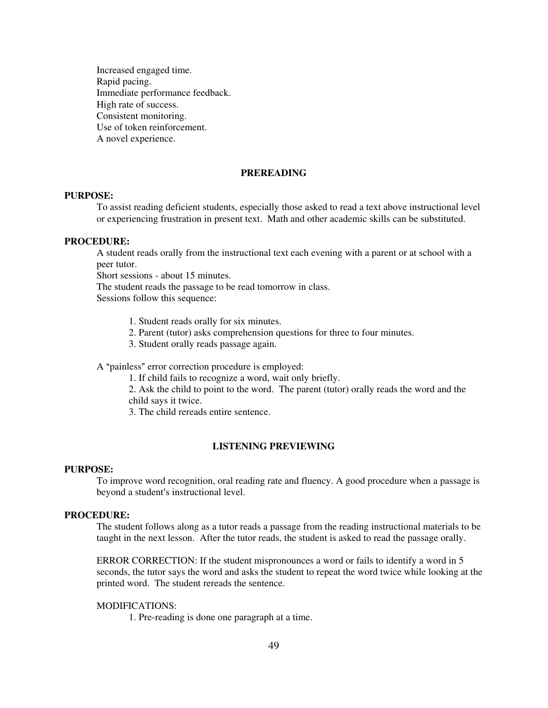Increased engaged time. Rapid pacing. Immediate performance feedback. High rate of success. Consistent monitoring. Use of token reinforcement. A novel experience.

# **PREREADING**

#### **PURPOSE:**

To assist reading deficient students, especially those asked to read a text above instructional level or experiencing frustration in present text. Math and other academic skills can be substituted.

# **PROCEDURE:**

A student reads orally from the instructional text each evening with a parent or at school with a peer tutor.

Short sessions - about 15 minutes.

The student reads the passage to be read tomorrow in class.

Sessions follow this sequence:

1. Student reads orally for six minutes.

- 2. Parent (tutor) asks comprehension questions for three to four minutes.
- 3. Student orally reads passage again.

#### A "painless" error correction procedure is employed:

1. If child fails to recognize a word, wait only briefly.

2. Ask the child to point to the word. The parent (tutor) orally reads the word and the child says it twice.

3. The child rereads entire sentence.

#### **LISTENING PREVIEWING**

#### **PURPOSE:**

To improve word recognition, oral reading rate and fluency. A good procedure when a passage is beyond a student's instructional level.

#### **PROCEDURE:**

The student follows along as a tutor reads a passage from the reading instructional materials to be taught in the next lesson. After the tutor reads, the student is asked to read the passage orally.

ERROR CORRECTION: If the student mispronounces a word or fails to identify a word in 5 seconds, the tutor says the word and asks the student to repeat the word twice while looking at the printed word. The student rereads the sentence.

#### MODIFICATIONS:

1. Pre-reading is done one paragraph at a time.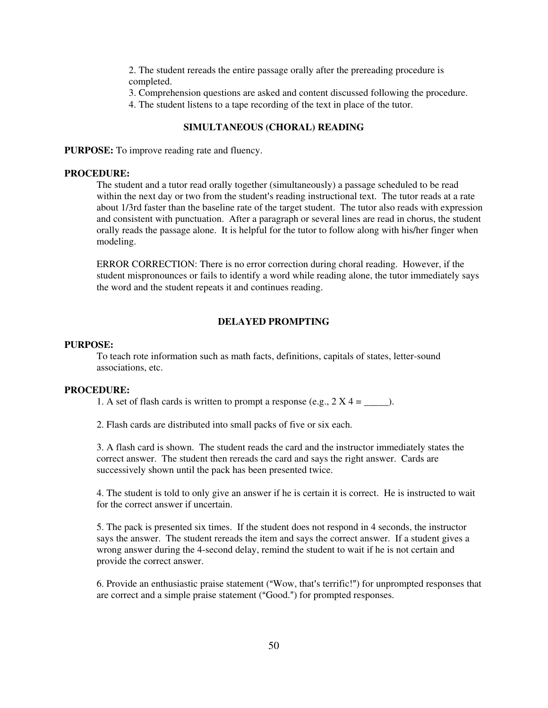2. The student rereads the entire passage orally after the prereading procedure is completed.

3. Comprehension questions are asked and content discussed following the procedure.

4. The student listens to a tape recording of the text in place of the tutor.

# **SIMULTANEOUS (CHORAL) READING**

**PURPOSE:** To improve reading rate and fluency.

# **PROCEDURE:**

The student and a tutor read orally together (simultaneously) a passage scheduled to be read within the next day or two from the student's reading instructional text. The tutor reads at a rate about 1/3rd faster than the baseline rate of the target student. The tutor also reads with expression and consistent with punctuation. After a paragraph or several lines are read in chorus, the student orally reads the passage alone. It is helpful for the tutor to follow along with his/her finger when modeling.

ERROR CORRECTION: There is no error correction during choral reading. However, if the student mispronounces or fails to identify a word while reading alone, the tutor immediately says the word and the student repeats it and continues reading.

# **DELAYED PROMPTING**

## **PURPOSE:**

To teach rote information such as math facts, definitions, capitals of states, letter-sound associations, etc.

#### **PROCEDURE:**

1. A set of flash cards is written to prompt a response (e.g.,  $2 X 4 =$  \_\_\_\_\_\_.).

2. Flash cards are distributed into small packs of five or six each.

3. A flash card is shown. The student reads the card and the instructor immediately states the correct answer. The student then rereads the card and says the right answer. Cards are successively shown until the pack has been presented twice.

4. The student is told to only give an answer if he is certain it is correct. He is instructed to wait for the correct answer if uncertain.

5. The pack is presented six times. If the student does not respond in 4 seconds, the instructor says the answer. The student rereads the item and says the correct answer. If a student gives a wrong answer during the 4-second delay, remind the student to wait if he is not certain and provide the correct answer.

6. Provide an enthusiastic praise statement ("Wow, that's terrific!") for unprompted responses that are correct and a simple praise statement ("Good.") for prompted responses.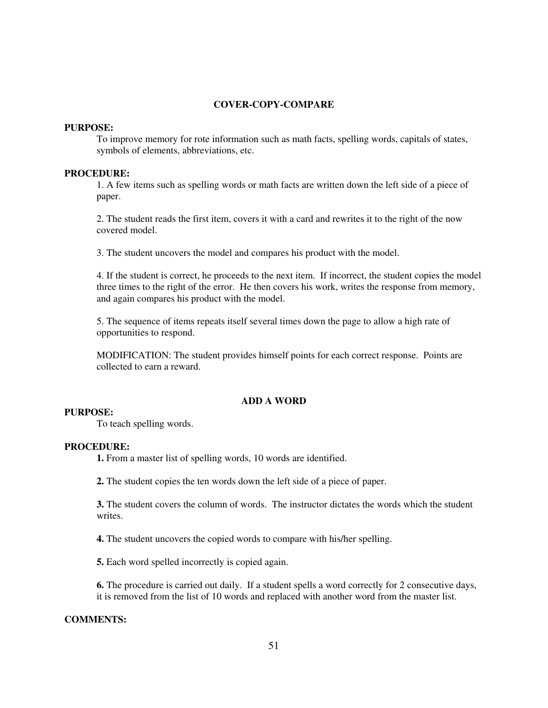## **COVER-COPY-COMPARE**

#### **PURPOSE:**

To improve memory for rote information such as math facts, spelling words, capitals of states, symbols of elements, abbreviations, etc.

## **PROCEDURE:**

1. A few items such as spelling words or math facts are written down the left side of a piece of paper.

2. The student reads the first item, covers it with a card and rewrites it to the right of the now covered model.

3. The student uncovers the model and compares his product with the model.

4. If the student is correct, he proceeds to the next item. If incorrect, the student copies the model three times to the right of the error. He then covers his work, writes the response from memory, and again compares his product with the model.

5. The sequence of items repeats itself several times down the page to allow a high rate of opportunities to respond.

MODIFICATION: The student provides himself points for each correct response. Points are collected to earn a reward.

#### **ADD A WORD**

# **PURPOSE:**

To teach spelling words.

#### **PROCEDURE:**

**1.** From a master list of spelling words, 10 words are identified.

**2.** The student copies the ten words down the left side of a piece of paper.

**3.** The student covers the column of words. The instructor dictates the words which the student writes.

**4.** The student uncovers the copied words to compare with his/her spelling.

**5.** Each word spelled incorrectly is copied again.

**6.** The procedure is carried out daily. If a student spells a word correctly for 2 consecutive days, it is removed from the list of 10 words and replaced with another word from the master list.

# **COMMENTS:**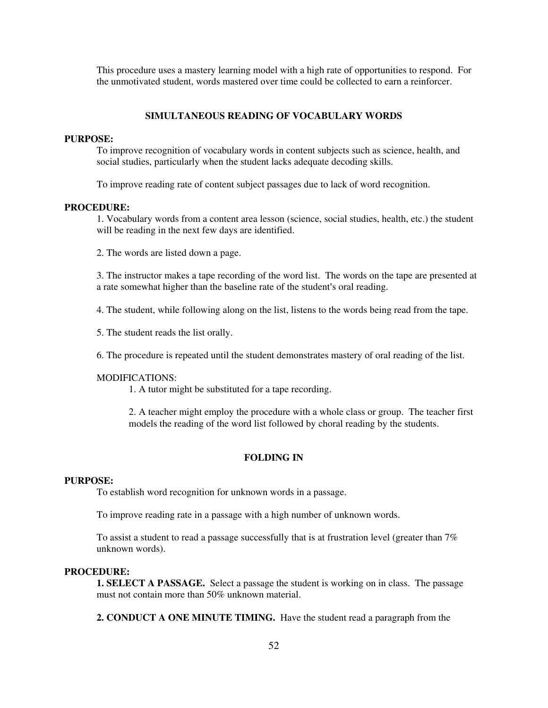This procedure uses a mastery learning model with a high rate of opportunities to respond. For the unmotivated student, words mastered over time could be collected to earn a reinforcer.

#### **SIMULTANEOUS READING OF VOCABULARY WORDS**

## **PURPOSE:**

To improve recognition of vocabulary words in content subjects such as science, health, and social studies, particularly when the student lacks adequate decoding skills.

To improve reading rate of content subject passages due to lack of word recognition.

#### **PROCEDURE:**

1. Vocabulary words from a content area lesson (science, social studies, health, etc.) the student will be reading in the next few days are identified.

2. The words are listed down a page.

3. The instructor makes a tape recording of the word list. The words on the tape are presented at a rate somewhat higher than the baseline rate of the student's oral reading.

4. The student, while following along on the list, listens to the words being read from the tape.

5. The student reads the list orally.

6. The procedure is repeated until the student demonstrates mastery of oral reading of the list.

#### MODIFICATIONS:

1. A tutor might be substituted for a tape recording.

2. A teacher might employ the procedure with a whole class or group. The teacher first models the reading of the word list followed by choral reading by the students.

# **FOLDING IN**

#### **PURPOSE:**

To establish word recognition for unknown words in a passage.

To improve reading rate in a passage with a high number of unknown words.

To assist a student to read a passage successfully that is at frustration level (greater than 7% unknown words).

## **PROCEDURE:**

**1. SELECT A PASSAGE.** Select a passage the student is working on in class. The passage must not contain more than 50% unknown material.

**2. CONDUCT A ONE MINUTE TIMING.** Have the student read a paragraph from the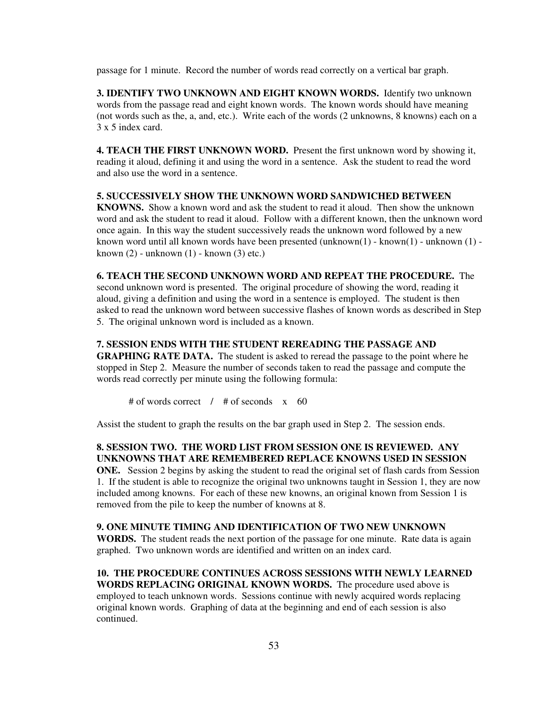passage for 1 minute. Record the number of words read correctly on a vertical bar graph.

**3. IDENTIFY TWO UNKNOWN AND EIGHT KNOWN WORDS.** Identify two unknown words from the passage read and eight known words. The known words should have meaning (not words such as the, a, and, etc.). Write each of the words (2 unknowns, 8 knowns) each on a 3 x 5 index card.

**4. TEACH THE FIRST UNKNOWN WORD.** Present the first unknown word by showing it, reading it aloud, defining it and using the word in a sentence. Ask the student to read the word and also use the word in a sentence.

**5. SUCCESSIVELY SHOW THE UNKNOWN WORD SANDWICHED BETWEEN KNOWNS.** Show a known word and ask the student to read it aloud. Then show the unknown word and ask the student to read it aloud. Follow with a different known, then the unknown word once again. In this way the student successively reads the unknown word followed by a new known word until all known words have been presented (unknown(1) - known(1) - unknown (1) known  $(2)$  - unknown  $(1)$  - known  $(3)$  etc.)

## **6. TEACH THE SECOND UNKNOWN WORD AND REPEAT THE PROCEDURE.** The

second unknown word is presented. The original procedure of showing the word, reading it aloud, giving a definition and using the word in a sentence is employed. The student is then asked to read the unknown word between successive flashes of known words as described in Step 5. The original unknown word is included as a known.

## **7. SESSION ENDS WITH THE STUDENT REREADING THE PASSAGE AND**

**GRAPHING RATE DATA.** The student is asked to reread the passage to the point where he stopped in Step 2. Measure the number of seconds taken to read the passage and compute the words read correctly per minute using the following formula:

# of words correct / # of seconds x 60

Assist the student to graph the results on the bar graph used in Step 2. The session ends.

**8. SESSION TWO. THE WORD LIST FROM SESSION ONE IS REVIEWED. ANY UNKNOWNS THAT ARE REMEMBERED REPLACE KNOWNS USED IN SESSION ONE.** Session 2 begins by asking the student to read the original set of flash cards from Session 1. If the student is able to recognize the original two unknowns taught in Session 1, they are now included among knowns. For each of these new knowns, an original known from Session 1 is removed from the pile to keep the number of knowns at 8.

## **9. ONE MINUTE TIMING AND IDENTIFICATION OF TWO NEW UNKNOWN**

**WORDS.** The student reads the next portion of the passage for one minute. Rate data is again graphed. Two unknown words are identified and written on an index card.

# **10. THE PROCEDURE CONTINUES ACROSS SESSIONS WITH NEWLY LEARNED**

**WORDS REPLACING ORIGINAL KNOWN WORDS.** The procedure used above is employed to teach unknown words. Sessions continue with newly acquired words replacing original known words. Graphing of data at the beginning and end of each session is also continued.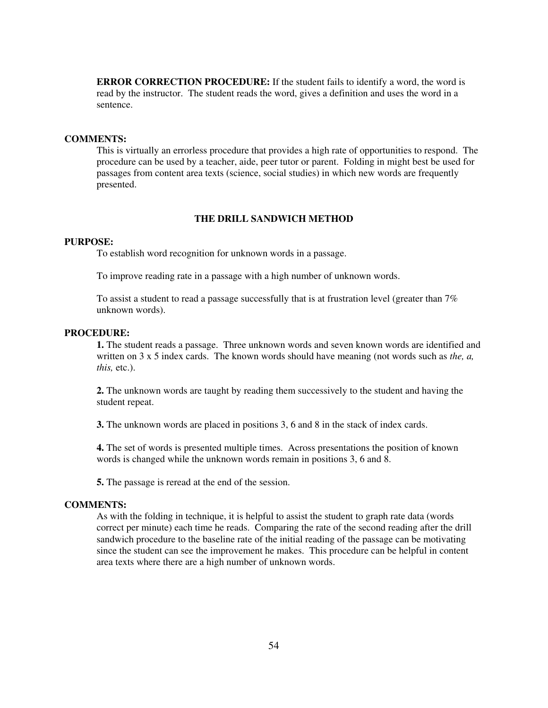**ERROR CORRECTION PROCEDURE:** If the student fails to identify a word, the word is read by the instructor. The student reads the word, gives a definition and uses the word in a sentence.

# **COMMENTS:**

This is virtually an errorless procedure that provides a high rate of opportunities to respond. The procedure can be used by a teacher, aide, peer tutor or parent. Folding in might best be used for passages from content area texts (science, social studies) in which new words are frequently presented.

# **THE DRILL SANDWICH METHOD**

#### **PURPOSE:**

To establish word recognition for unknown words in a passage.

To improve reading rate in a passage with a high number of unknown words.

To assist a student to read a passage successfully that is at frustration level (greater than 7% unknown words).

#### **PROCEDURE:**

**1.** The student reads a passage. Three unknown words and seven known words are identified and written on 3 x 5 index cards. The known words should have meaning (not words such as *the, a, this,* etc.).

**2.** The unknown words are taught by reading them successively to the student and having the student repeat.

**3.** The unknown words are placed in positions 3, 6 and 8 in the stack of index cards.

**4.** The set of words is presented multiple times. Across presentations the position of known words is changed while the unknown words remain in positions 3, 6 and 8.

**5.** The passage is reread at the end of the session.

#### **COMMENTS:**

As with the folding in technique, it is helpful to assist the student to graph rate data (words correct per minute) each time he reads. Comparing the rate of the second reading after the drill sandwich procedure to the baseline rate of the initial reading of the passage can be motivating since the student can see the improvement he makes. This procedure can be helpful in content area texts where there are a high number of unknown words.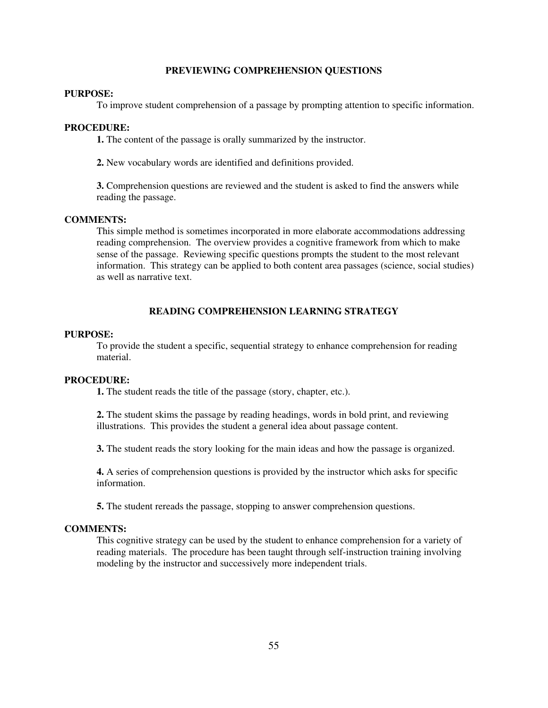#### **PREVIEWING COMPREHENSION QUESTIONS**

# **PURPOSE:**

To improve student comprehension of a passage by prompting attention to specific information.

#### **PROCEDURE:**

**1.** The content of the passage is orally summarized by the instructor.

**2.** New vocabulary words are identified and definitions provided.

**3.** Comprehension questions are reviewed and the student is asked to find the answers while reading the passage.

#### **COMMENTS:**

This simple method is sometimes incorporated in more elaborate accommodations addressing reading comprehension. The overview provides a cognitive framework from which to make sense of the passage. Reviewing specific questions prompts the student to the most relevant information. This strategy can be applied to both content area passages (science, social studies) as well as narrative text.

# **READING COMPREHENSION LEARNING STRATEGY**

#### **PURPOSE:**

To provide the student a specific, sequential strategy to enhance comprehension for reading material.

#### **PROCEDURE:**

**1.** The student reads the title of the passage (story, chapter, etc.).

**2.** The student skims the passage by reading headings, words in bold print, and reviewing illustrations. This provides the student a general idea about passage content.

**3.** The student reads the story looking for the main ideas and how the passage is organized.

**4.** A series of comprehension questions is provided by the instructor which asks for specific information.

**5.** The student rereads the passage, stopping to answer comprehension questions.

#### **COMMENTS:**

This cognitive strategy can be used by the student to enhance comprehension for a variety of reading materials. The procedure has been taught through self-instruction training involving modeling by the instructor and successively more independent trials.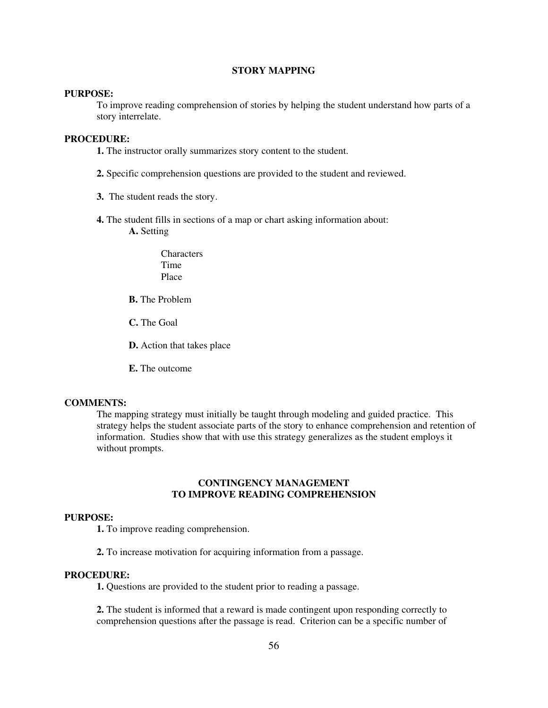# **STORY MAPPING**

# **PURPOSE:**

To improve reading comprehension of stories by helping the student understand how parts of a story interrelate.

# **PROCEDURE:**

**1.** The instructor orally summarizes story content to the student.

- **2.** Specific comprehension questions are provided to the student and reviewed.
- **3.** The student reads the story.
- **4.** The student fills in sections of a map or chart asking information about: **A.** Setting
	- **Characters** Time Place
	- **B.** The Problem
	- **C.** The Goal

**D.** Action that takes place

**E.** The outcome

# **COMMENTS:**

The mapping strategy must initially be taught through modeling and guided practice. This strategy helps the student associate parts of the story to enhance comprehension and retention of information. Studies show that with use this strategy generalizes as the student employs it without prompts.

# **CONTINGENCY MANAGEMENT TO IMPROVE READING COMPREHENSION**

#### **PURPOSE:**

**1.** To improve reading comprehension.

**2.** To increase motivation for acquiring information from a passage.

# **PROCEDURE:**

**1.** Questions are provided to the student prior to reading a passage.

**2.** The student is informed that a reward is made contingent upon responding correctly to comprehension questions after the passage is read. Criterion can be a specific number of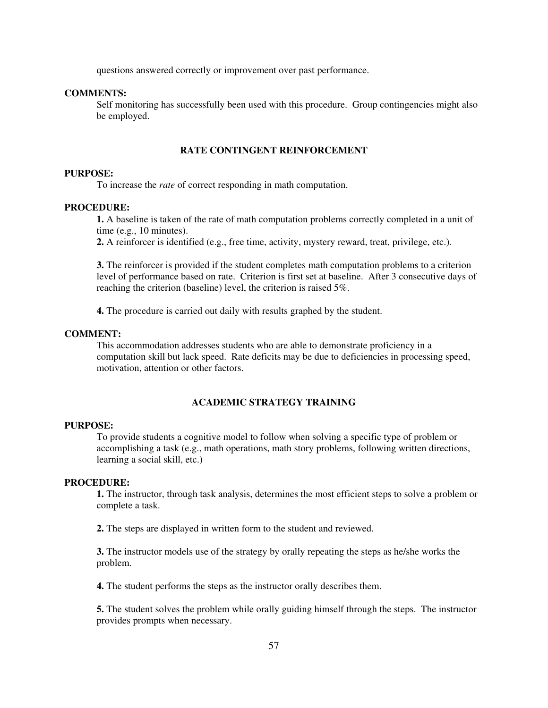questions answered correctly or improvement over past performance.

# **COMMENTS:**

Self monitoring has successfully been used with this procedure. Group contingencies might also be employed.

# **RATE CONTINGENT REINFORCEMENT**

## **PURPOSE:**

To increase the *rate* of correct responding in math computation.

# **PROCEDURE:**

**1.** A baseline is taken of the rate of math computation problems correctly completed in a unit of time (e.g., 10 minutes).

**2.** A reinforcer is identified (e.g., free time, activity, mystery reward, treat, privilege, etc.).

**3.** The reinforcer is provided if the student completes math computation problems to a criterion level of performance based on rate. Criterion is first set at baseline. After 3 consecutive days of reaching the criterion (baseline) level, the criterion is raised 5%.

**4.** The procedure is carried out daily with results graphed by the student.

#### **COMMENT:**

This accommodation addresses students who are able to demonstrate proficiency in a computation skill but lack speed. Rate deficits may be due to deficiencies in processing speed, motivation, attention or other factors.

## **ACADEMIC STRATEGY TRAINING**

#### **PURPOSE:**

To provide students a cognitive model to follow when solving a specific type of problem or accomplishing a task (e.g., math operations, math story problems, following written directions, learning a social skill, etc.)

# **PROCEDURE:**

**1.** The instructor, through task analysis, determines the most efficient steps to solve a problem or complete a task.

**2.** The steps are displayed in written form to the student and reviewed.

**3.** The instructor models use of the strategy by orally repeating the steps as he/she works the problem.

**4.** The student performs the steps as the instructor orally describes them.

**5.** The student solves the problem while orally guiding himself through the steps. The instructor provides prompts when necessary.